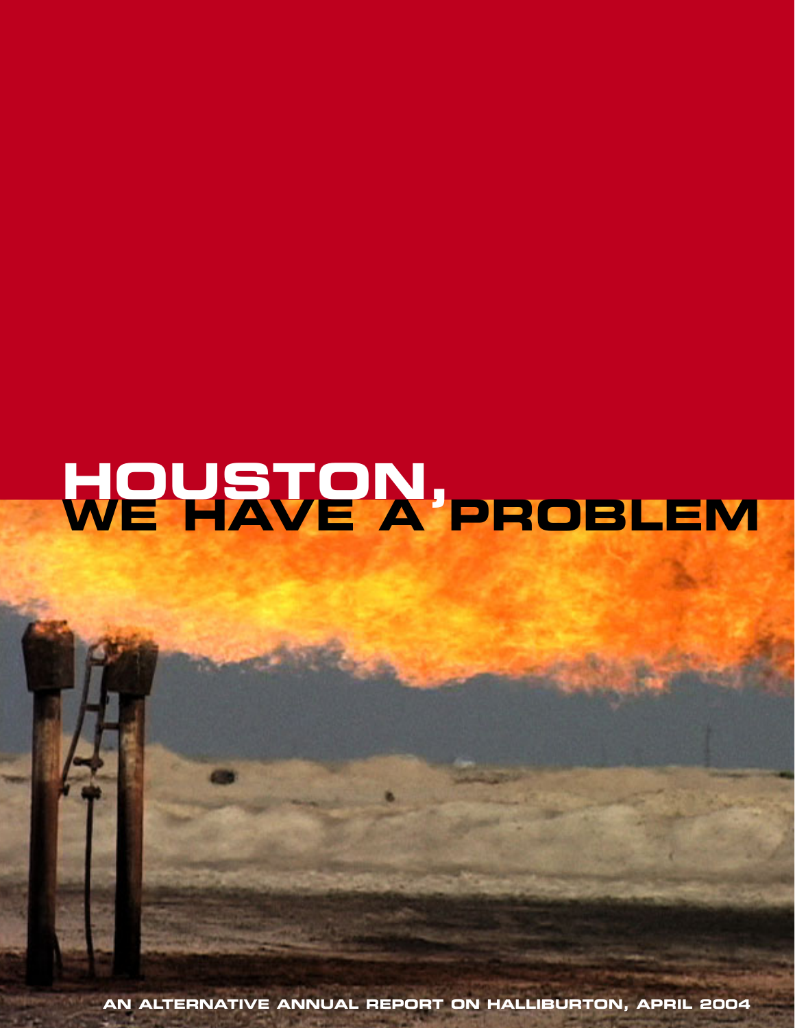# **HOUSTON, WE HAVE A PROBLEM**

**AN ALTERNATIVE ANNUAL REPORT ON HALLIBURTON, APRIL 2004**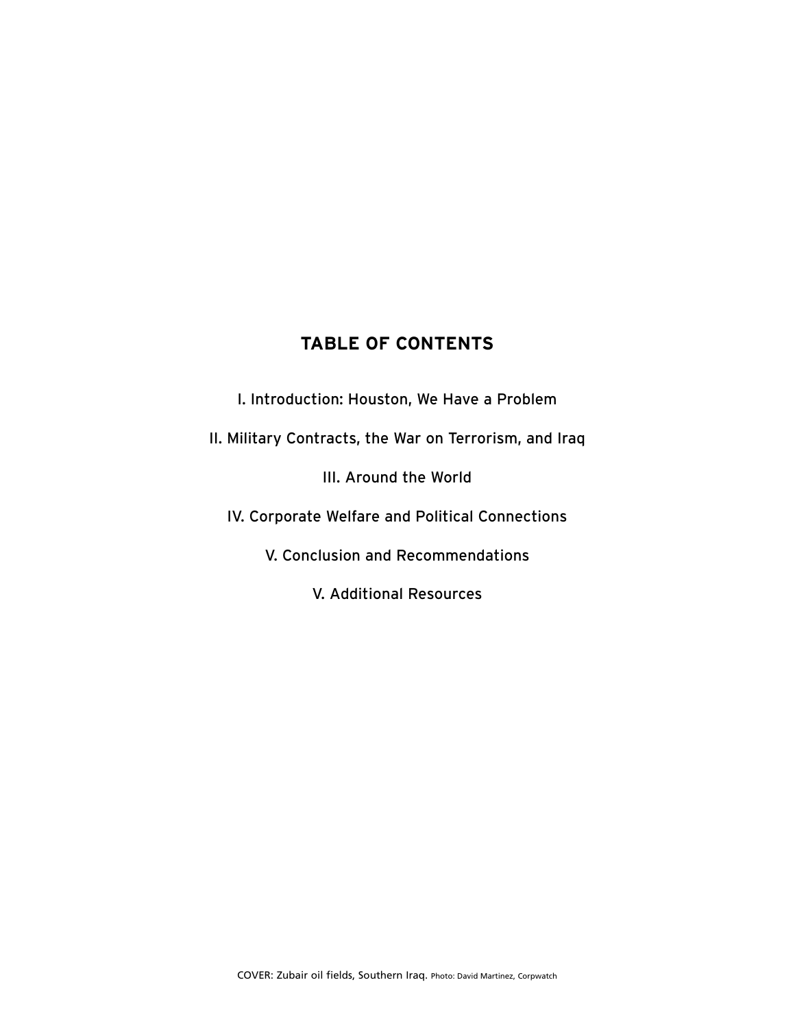# **TABLE OF CONTENTS**

I. Introduction: Houston, We Have a Problem

II. Military Contracts, the War on Terrorism, and Iraq

III. Around the World

IV. Corporate Welfare and Political Connections

V. Conclusion and Recommendations

V. Additional Resources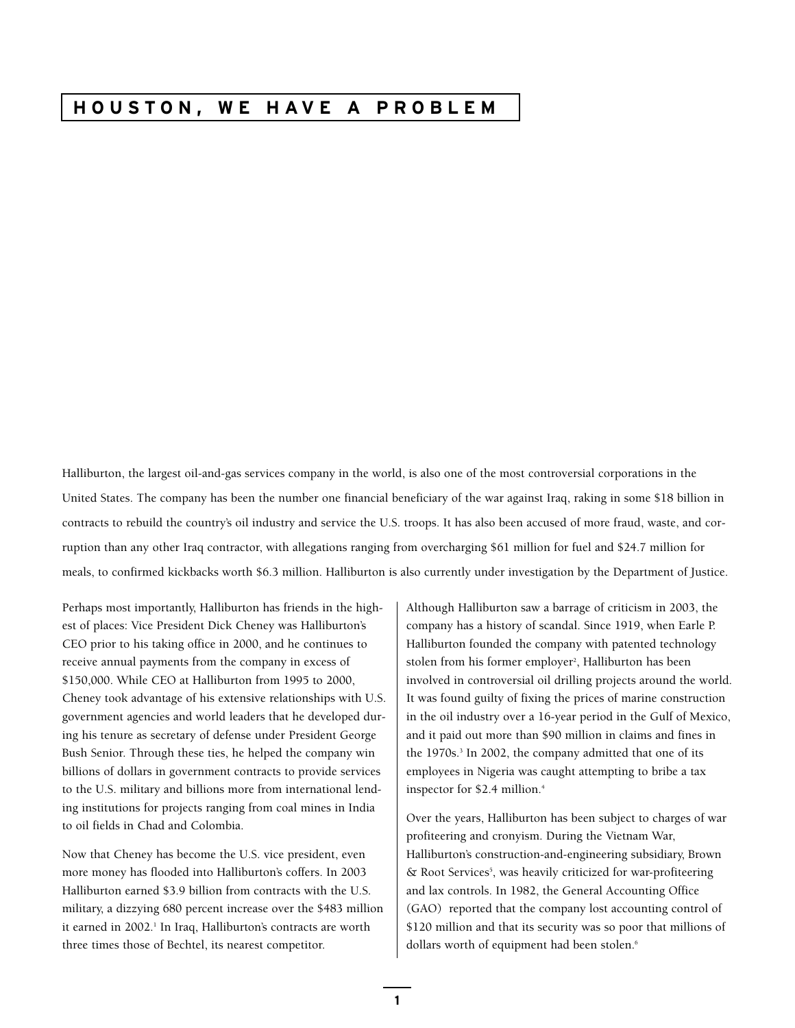Halliburton, the largest oil-and-gas services company in the world, is also one of the most controversial corporations in the United States. The company has been the number one financial beneficiary of the war against Iraq, raking in some \$18 billion in contracts to rebuild the country's oil industry and service the U.S. troops. It has also been accused of more fraud, waste, and corruption than any other Iraq contractor, with allegations ranging from overcharging \$61 million for fuel and \$24.7 million for meals, to confirmed kickbacks worth \$6.3 million. Halliburton is also currently under investigation by the Department of Justice.

Perhaps most importantly, Halliburton has friends in the highest of places: Vice President Dick Cheney was Halliburton's CEO prior to his taking office in 2000, and he continues to receive annual payments from the company in excess of \$150,000. While CEO at Halliburton from 1995 to 2000, Cheney took advantage of his extensive relationships with U.S. government agencies and world leaders that he developed during his tenure as secretary of defense under President George Bush Senior. Through these ties, he helped the company win billions of dollars in government contracts to provide services to the U.S. military and billions more from international lending institutions for projects ranging from coal mines in India to oil fields in Chad and Colombia.

Now that Cheney has become the U.S. vice president, even more money has flooded into Halliburton's coffers. In 2003 Halliburton earned \$3.9 billion from contracts with the U.S. military, a dizzying 680 percent increase over the \$483 million it earned in 2002.<sup>1</sup> In Iraq, Halliburton's contracts are worth three times those of Bechtel, its nearest competitor.

Although Halliburton saw a barrage of criticism in 2003, the company has a history of scandal. Since 1919, when Earle P. Halliburton founded the company with patented technology stolen from his former employer<sup>2</sup>, Halliburton has been involved in controversial oil drilling projects around the world. It was found guilty of fixing the prices of marine construction in the oil industry over a 16-year period in the Gulf of Mexico, and it paid out more than \$90 million in claims and fines in the 1970s.<sup>3</sup> In 2002, the company admitted that one of its employees in Nigeria was caught attempting to bribe a tax inspector for \$2.4 million.4

Over the years, Halliburton has been subject to charges of war profiteering and cronyism. During the Vietnam War, Halliburton's construction-and-engineering subsidiary, Brown & Root Services<sup>5</sup>, was heavily criticized for war-profiteering and lax controls. In 1982, the General Accounting Office (GAO) reported that the company lost accounting control of \$120 million and that its security was so poor that millions of dollars worth of equipment had been stolen.<sup>6</sup>

**1**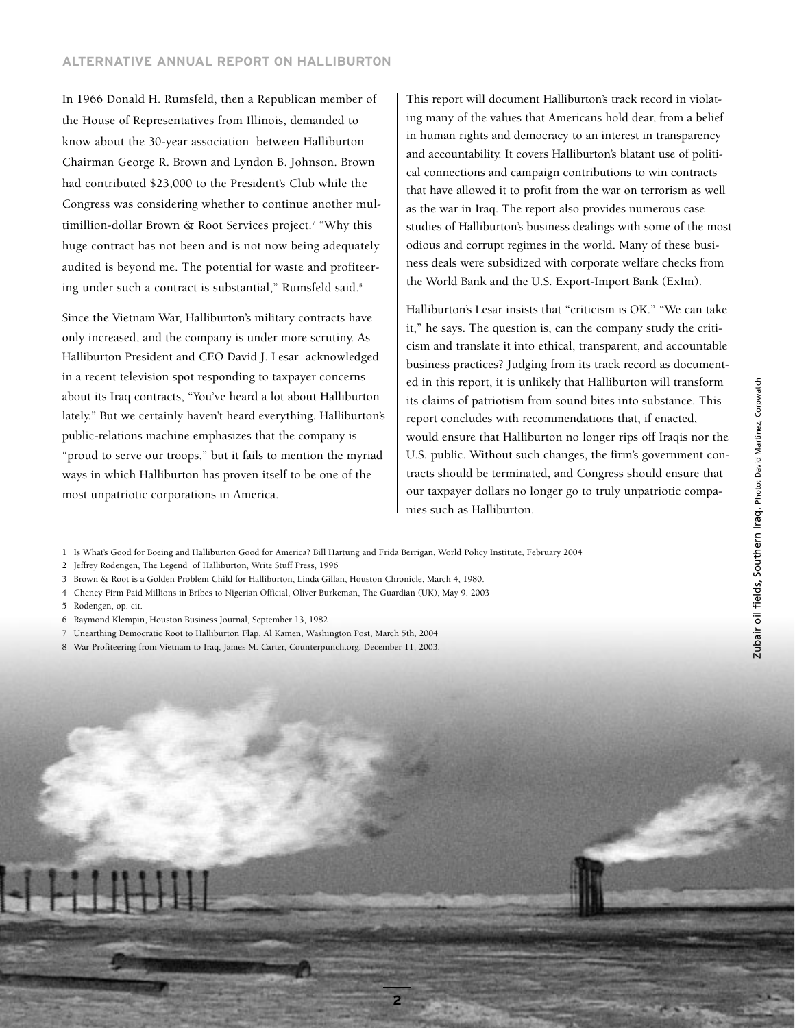In 1966 Donald H. Rumsfeld, then a Republican member of the House of Representatives from Illinois, demanded to know about the 30-year association between Halliburton Chairman George R. Brown and Lyndon B. Johnson. Brown had contributed \$23,000 to the President's Club while the Congress was considering whether to continue another multimillion-dollar Brown & Root Services project.<sup>7</sup> "Why this huge contract has not been and is not now being adequately audited is beyond me. The potential for waste and profiteering under such a contract is substantial," Rumsfeld said.<sup>8</sup>

Since the Vietnam War, Halliburton's military contracts have only increased, and the company is under more scrutiny. As Halliburton President and CEO David J. Lesar acknowledged in a recent television spot responding to taxpayer concerns about its Iraq contracts, "You've heard a lot about Halliburton lately." But we certainly haven't heard everything. Halliburton's public-relations machine emphasizes that the company is "proud to serve our troops," but it fails to mention the myriad ways in which Halliburton has proven itself to be one of the most unpatriotic corporations in America.

This report will document Halliburton's track record in violating many of the values that Americans hold dear, from a belief in human rights and democracy to an interest in transparency and accountability. It covers Halliburton's blatant use of political connections and campaign contributions to win contracts that have allowed it to profit from the war on terrorism as well as the war in Iraq. The report also provides numerous case studies of Halliburton's business dealings with some of the most odious and corrupt regimes in the world. Many of these business deals were subsidized with corporate welfare checks from the World Bank and the U.S. Export-Import Bank (ExIm).

Halliburton's Lesar insists that "criticism is OK." "We can take it," he says. The question is, can the company study the criticism and translate it into ethical, transparent, and accountable business practices? Judging from its track record as documented in this report, it is unlikely that Halliburton will transform its claims of patriotism from sound bites into substance. This report concludes with recommendations that, if enacted, would ensure that Halliburton no longer rips off Iraqis nor the U.S. public. Without such changes, the firm's government contracts should be terminated, and Congress should ensure that our taxpayer dollars no longer go to truly unpatriotic companies such as Halliburton.

1 Is What's Good for Boeing and Halliburton Good for America? Bill Hartung and Frida Berrigan, World Policy Institute, February 2004

**2**

- 2 Jeffrey Rodengen, The Legend of Halliburton, Write Stuff Press, 1996
- 3 Brown & Root is a Golden Problem Child for Halliburton, Linda Gillan, Houston Chronicle, March 4, 1980.
- 4 Cheney Firm Paid Millions in Bribes to Nigerian Official, Oliver Burkeman, The Guardian (UK), May 9, 2003
- 5 Rodengen, op. cit.
- 6 Raymond Klempin, Houston Business Journal, September 13, 1982
- 7 Unearthing Democratic Root to Halliburton Flap, Al Kamen, Washington Post, March 5th, 2004
- 8 War Profiteering from Vietnam to Iraq, James M. Carter, Counterpunch.org, December 11, 2003.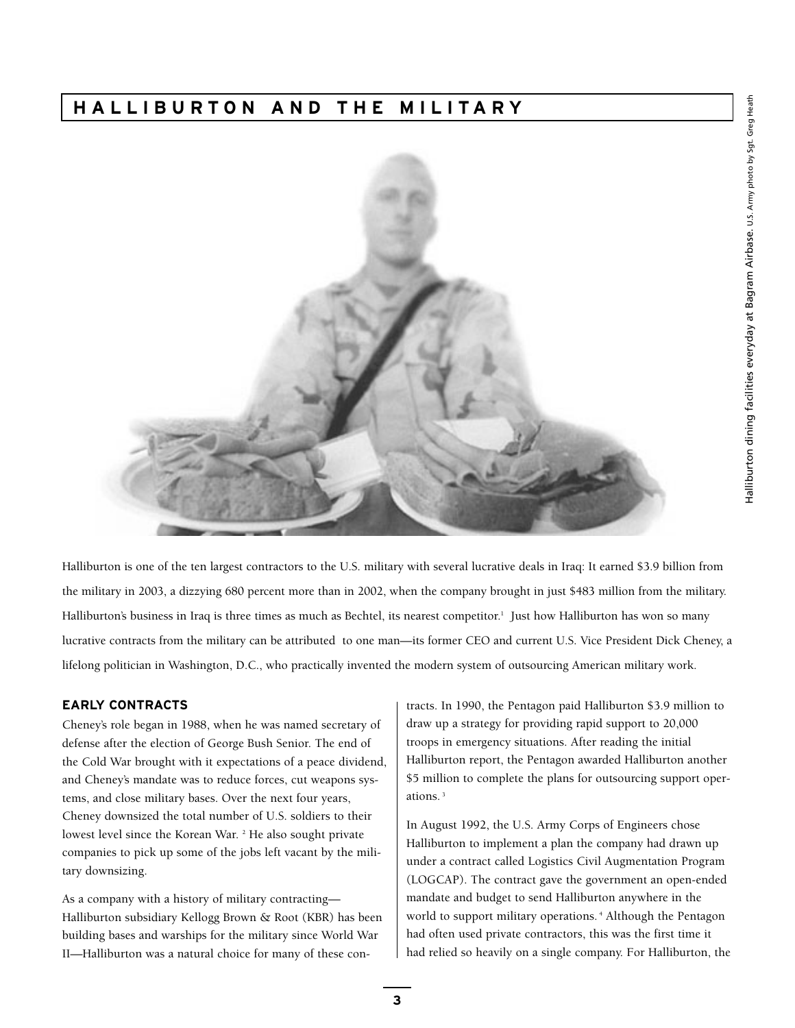# **HALLIBURTON AND THE MILITARY**



Halliburton is one of the ten largest contractors to the U.S. military with several lucrative deals in Iraq: It earned \$3.9 billion from the military in 2003, a dizzying 680 percent more than in 2002, when the company brought in just \$483 million from the military. Halliburton's business in Iraq is three times as much as Bechtel, its nearest competitor.<sup>1</sup> Just how Halliburton has won so many lucrative contracts from the military can be attributed to one man—its former CEO and current U.S. Vice President Dick Cheney, a lifelong politician in Washington, D.C., who practically invented the modern system of outsourcing American military work.

#### **EARLY CONTRACTS**

Cheney's role began in 1988, when he was named secretary of defense after the election of George Bush Senior. The end of the Cold War brought with it expectations of a peace dividend, and Cheney's mandate was to reduce forces, cut weapons systems, and close military bases. Over the next four years, Cheney downsized the total number of U.S. soldiers to their lowest level since the Korean War. 2 He also sought private companies to pick up some of the jobs left vacant by the military downsizing.

As a company with a history of military contracting— Halliburton subsidiary Kellogg Brown & Root (KBR) has been building bases and warships for the military since World War II—Halliburton was a natural choice for many of these contracts. In 1990, the Pentagon paid Halliburton \$3.9 million to draw up a strategy for providing rapid support to 20,000 troops in emergency situations. After reading the initial Halliburton report, the Pentagon awarded Halliburton another \$5 million to complete the plans for outsourcing support operations. <sup>3</sup>

In August 1992, the U.S. Army Corps of Engineers chose Halliburton to implement a plan the company had drawn up under a contract called Logistics Civil Augmentation Program (LOGCAP). The contract gave the government an open-ended mandate and budget to send Halliburton anywhere in the world to support military operations.<sup>4</sup> Although the Pentagon had often used private contractors, this was the first time it had relied so heavily on a single company. For Halliburton, the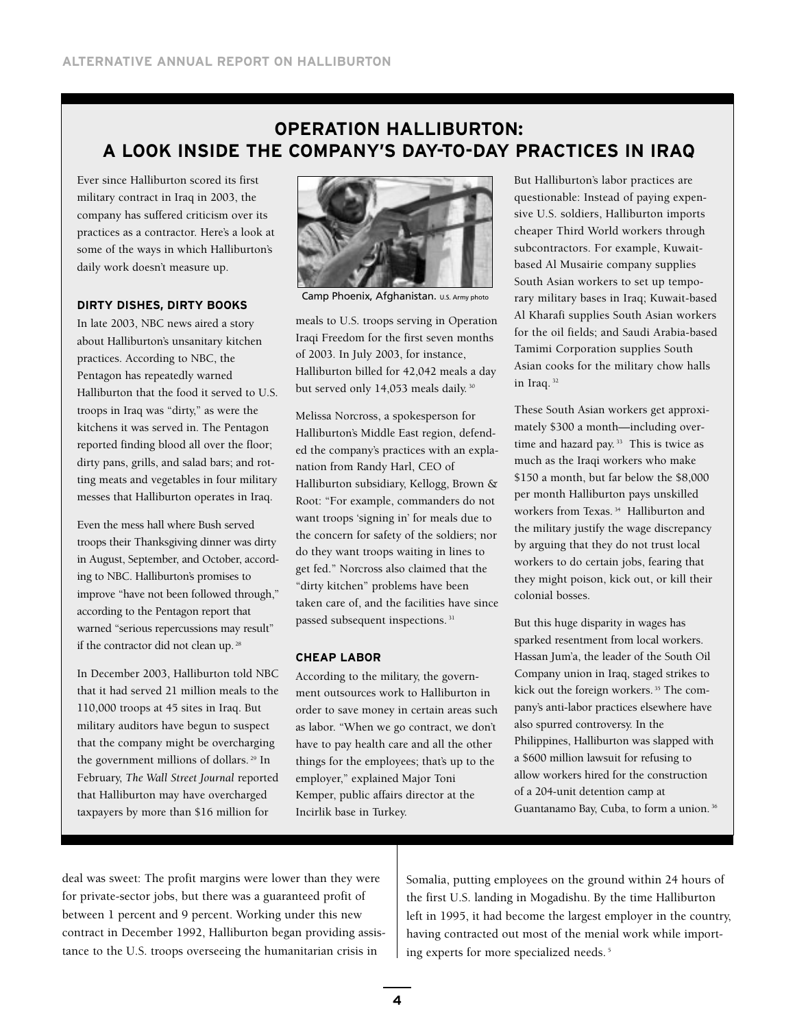# **OPERATION HALLIBURTON: A LOOK INSIDE THE COMPANY'S DAY-TO-DAY PRACTICES IN IRAQ**

Ever since Halliburton scored its first military contract in Iraq in 2003, the company has suffered criticism over its practices as a contractor. Here's a look at some of the ways in which Halliburton's daily work doesn't measure up.

#### **DIRTY DISHES, DIRTY BOOKS**

In late 2003, NBC news aired a story about Halliburton's unsanitary kitchen practices. According to NBC, the Pentagon has repeatedly warned Halliburton that the food it served to U.S. troops in Iraq was "dirty," as were the kitchens it was served in. The Pentagon reported finding blood all over the floor; dirty pans, grills, and salad bars; and rotting meats and vegetables in four military messes that Halliburton operates in Iraq.

Even the mess hall where Bush served troops their Thanksgiving dinner was dirty in August, September, and October, according to NBC. Halliburton's promises to improve "have not been followed through," according to the Pentagon report that warned "serious repercussions may result" if the contractor did not clean up.<sup>28</sup>

In December 2003, Halliburton told NBC that it had served 21 million meals to the 110,000 troops at 45 sites in Iraq. But military auditors have begun to suspect that the company might be overcharging the government millions of dollars. <sup>29</sup> In February, *The Wall Street Journal* reported that Halliburton may have overcharged taxpayers by more than \$16 million for



Camp Phoenix, Afghanistan. U.S. Army photo

meals to U.S. troops serving in Operation Iraqi Freedom for the first seven months of 2003. In July 2003, for instance, Halliburton billed for 42,042 meals a day but served only 14,053 meals daily.<sup>30</sup>

Melissa Norcross, a spokesperson for Halliburton's Middle East region, defended the company's practices with an explanation from Randy Harl, CEO of Halliburton subsidiary, Kellogg, Brown & Root: "For example, commanders do not want troops 'signing in' for meals due to the concern for safety of the soldiers; nor do they want troops waiting in lines to get fed." Norcross also claimed that the "dirty kitchen" problems have been taken care of, and the facilities have since passed subsequent inspections. <sup>31</sup>

#### **CHEAP LABOR**

According to the military, the government outsources work to Halliburton in order to save money in certain areas such as labor. "When we go contract, we don't have to pay health care and all the other things for the employees; that's up to the employer," explained Major Toni Kemper, public affairs director at the Incirlik base in Turkey.

But Halliburton's labor practices are questionable: Instead of paying expensive U.S. soldiers, Halliburton imports cheaper Third World workers through subcontractors. For example, Kuwaitbased Al Musairie company supplies South Asian workers to set up temporary military bases in Iraq; Kuwait-based Al Kharafi supplies South Asian workers for the oil fields; and Saudi Arabia-based Tamimi Corporation supplies South Asian cooks for the military chow halls in Iraq. <sup>32</sup>

These South Asian workers get approximately \$300 a month—including overtime and hazard pay.<sup>33</sup> This is twice as much as the Iraqi workers who make \$150 a month, but far below the \$8,000 per month Halliburton pays unskilled workers from Texas. <sup>34</sup> Halliburton and the military justify the wage discrepancy by arguing that they do not trust local workers to do certain jobs, fearing that they might poison, kick out, or kill their colonial bosses.

But this huge disparity in wages has sparked resentment from local workers. Hassan Jum'a, the leader of the South Oil Company union in Iraq, staged strikes to kick out the foreign workers. <sup>35</sup> The company's anti-labor practices elsewhere have also spurred controversy. In the Philippines, Halliburton was slapped with a \$600 million lawsuit for refusing to allow workers hired for the construction of a 204-unit detention camp at Guantanamo Bay, Cuba, to form a union. <sup>36</sup>

deal was sweet: The profit margins were lower than they were for private-sector jobs, but there was a guaranteed profit of between 1 percent and 9 percent. Working under this new contract in December 1992, Halliburton began providing assistance to the U.S. troops overseeing the humanitarian crisis in

Somalia, putting employees on the ground within 24 hours of the first U.S. landing in Mogadishu. By the time Halliburton left in 1995, it had become the largest employer in the country, having contracted out most of the menial work while importing experts for more specialized needs.<sup>5</sup>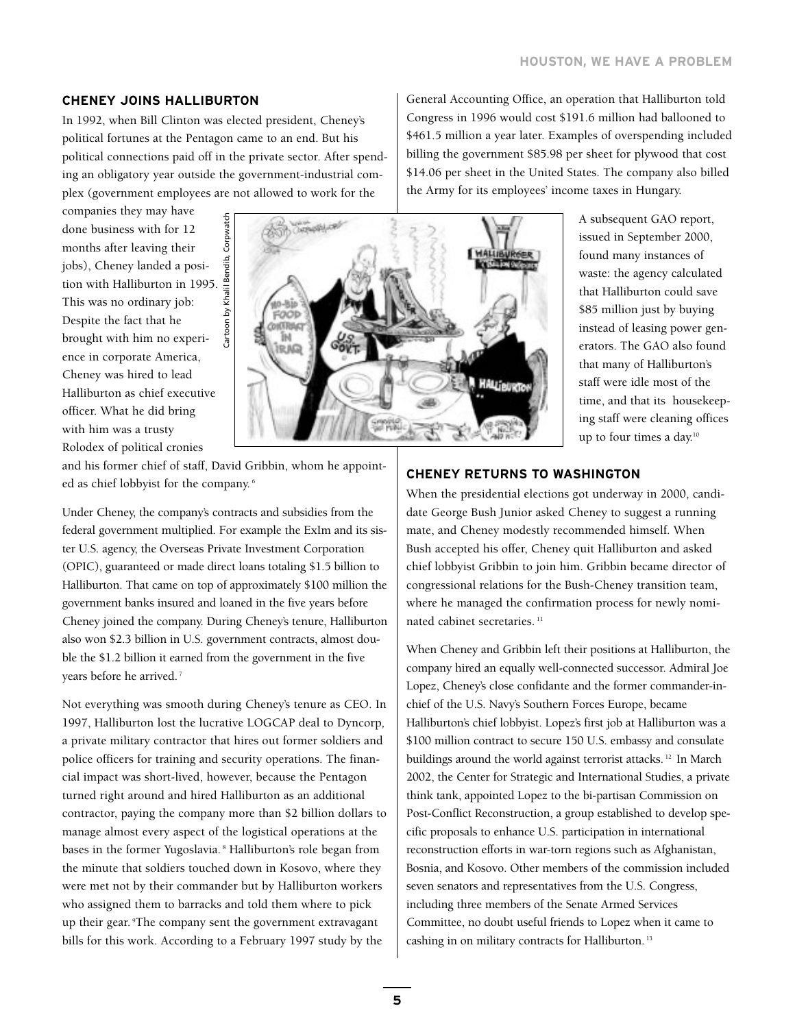**5**

## **CHENEY JOINS HALLIBURTON**

In 1992, when Bill Clinton was elected president, Cheney's political fortunes at the Pentagon came to an end. But his political connections paid off in the private sector. After spending an obligatory year outside the government-industrial complex (government employees are not allowed to work for the

companies they may have done business with for 12 months after leaving their jobs), Cheney landed a position with Halliburton in 1995. This was no ordinary job: Despite the fact that he brought with him no experience in corporate America, Cheney was hired to lead Halliburton as chief executive officer. What he did bring with him was a trusty Rolodex of political cronies

and his former chief of staff, David Gribbin, whom he appointed as chief lobbyist for the company. <sup>6</sup>

Under Cheney, the company's contracts and subsidies from the federal government multiplied. For example the ExIm and its sister U.S. agency, the Overseas Private Investment Corporation (OPIC), guaranteed or made direct loans totaling \$1.5 billion to Halliburton. That came on top of approximately \$100 million the government banks insured and loaned in the five years before Cheney joined the company. During Cheney's tenure, Halliburton also won \$2.3 billion in U.S. government contracts, almost double the \$1.2 billion it earned from the government in the five years before he arrived. <sup>7</sup>

Not everything was smooth during Cheney's tenure as CEO. In 1997, Halliburton lost the lucrative LOGCAP deal to Dyncorp*,* a private military contractor that hires out former soldiers and police officers for training and security operations. The financial impact was short-lived, however, because the Pentagon turned right around and hired Halliburton as an additional contractor, paying the company more than \$2 billion dollars to manage almost every aspect of the logistical operations at the bases in the former Yugoslavia. <sup>8</sup> Halliburton's role began from the minute that soldiers touched down in Kosovo, where they were met not by their commander but by Halliburton workers who assigned them to barracks and told them where to pick up their gear. <sup>9</sup> The company sent the government extravagant bills for this work. According to a February 1997 study by the

General Accounting Office, an operation that Halliburton told Congress in 1996 would cost \$191.6 million had ballooned to \$461.5 million a year later. Examples of overspending included billing the government \$85.98 per sheet for plywood that cost \$14.06 per sheet in the United States. The company also billed the Army for its employees' income taxes in Hungary.

> A subsequent GAO report, issued in September 2000, found many instances of waste: the agency calculated that Halliburton could save \$85 million just by buying instead of leasing power generators. The GAO also found that many of Halliburton's staff were idle most of the time, and that its housekeeping staff were cleaning offices up to four times a day.10

#### **CHENEY RETURNS TO WASHINGTON**

When the presidential elections got underway in 2000, candidate George Bush Junior asked Cheney to suggest a running mate, and Cheney modestly recommended himself. When Bush accepted his offer, Cheney quit Halliburton and asked chief lobbyist Gribbin to join him. Gribbin became director of congressional relations for the Bush-Cheney transition team, where he managed the confirmation process for newly nominated cabinet secretaries.<sup>11</sup>

When Cheney and Gribbin left their positions at Halliburton, the company hired an equally well-connected successor. Admiral Joe Lopez, Cheney's close confidante and the former commander-inchief of the U.S. Navy's Southern Forces Europe, became Halliburton's chief lobbyist. Lopez's first job at Halliburton was a \$100 million contract to secure 150 U.S. embassy and consulate buildings around the world against terrorist attacks. <sup>12</sup> In March 2002, the Center for Strategic and International Studies, a private think tank, appointed Lopez to the bi-partisan Commission on Post-Conflict Reconstruction, a group established to develop specific proposals to enhance U.S. participation in international reconstruction efforts in war-torn regions such as Afghanistan, Bosnia, and Kosovo. Other members of the commission included seven senators and representatives from the U.S. Congress, including three members of the Senate Armed Services Committee, no doubt useful friends to Lopez when it came to cashing in on military contracts for Halliburton. <sup>13</sup>

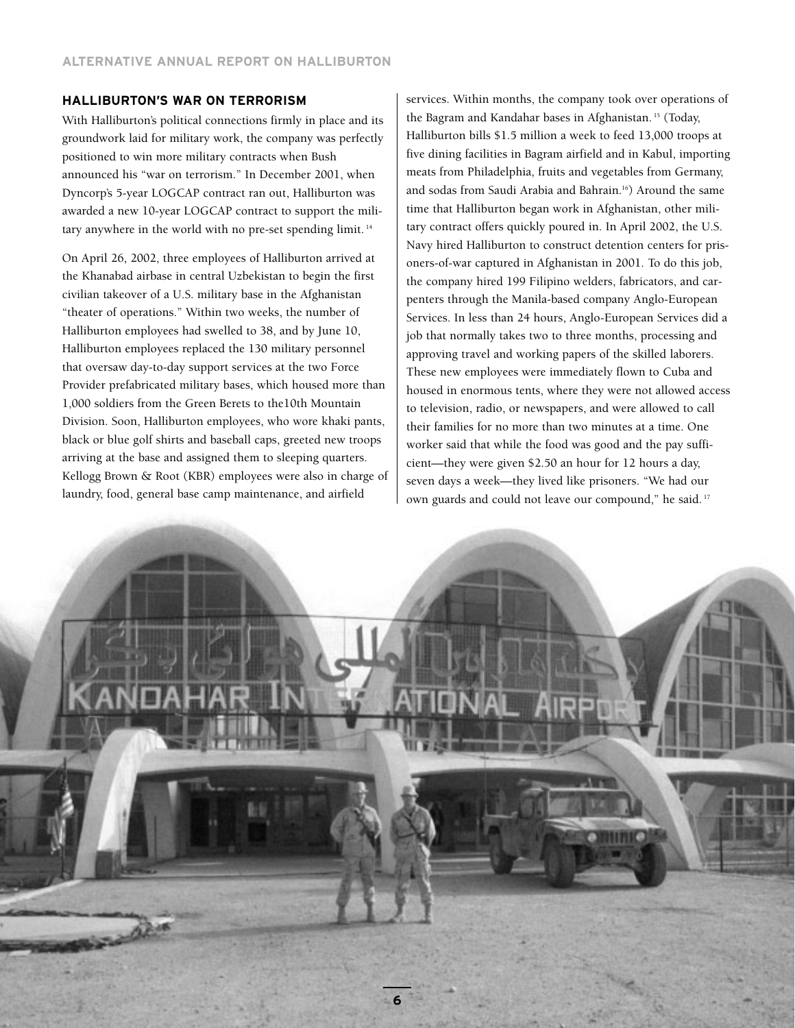#### **HALLIBURTON'S WAR ON TERRORISM**

With Halliburton's political connections firmly in place and its groundwork laid for military work, the company was perfectly positioned to win more military contracts when Bush announced his "war on terrorism." In December 2001, when Dyncorp's 5-year LOGCAP contract ran out, Halliburton was awarded a new 10-year LOGCAP contract to support the military anywhere in the world with no pre-set spending limit. <sup>14</sup>

On April 26, 2002, three employees of Halliburton arrived at the Khanabad airbase in central Uzbekistan to begin the first civilian takeover of a U.S. military base in the Afghanistan "theater of operations." Within two weeks, the number of Halliburton employees had swelled to 38, and by June 10, Halliburton employees replaced the 130 military personnel that oversaw day-to-day support services at the two Force Provider prefabricated military bases, which housed more than 1,000 soldiers from the Green Berets to the10th Mountain Division. Soon, Halliburton employees, who wore khaki pants, black or blue golf shirts and baseball caps, greeted new troops arriving at the base and assigned them to sleeping quarters. Kellogg Brown & Root (KBR) employees were also in charge of laundry, food, general base camp maintenance, and airfield

services. Within months, the company took over operations of the Bagram and Kandahar bases in Afghanistan. <sup>15</sup> (Today, Halliburton bills \$1.5 million a week to feed 13,000 troops at five dining facilities in Bagram airfield and in Kabul, importing meats from Philadelphia, fruits and vegetables from Germany, and sodas from Saudi Arabia and Bahrain.16) Around the same time that Halliburton began work in Afghanistan, other military contract offers quickly poured in. In April 2002, the U.S. Navy hired Halliburton to construct detention centers for prisoners-of-war captured in Afghanistan in 2001. To do this job, the company hired 199 Filipino welders, fabricators, and carpenters through the Manila-based company Anglo-European Services. In less than 24 hours, Anglo-European Services did a job that normally takes two to three months, processing and approving travel and working papers of the skilled laborers. These new employees were immediately flown to Cuba and housed in enormous tents, where they were not allowed access to television, radio, or newspapers, and were allowed to call their families for no more than two minutes at a time. One worker said that while the food was good and the pay sufficient—they were given \$2.50 an hour for 12 hours a day, seven days a week—they lived like prisoners. "We had our own guards and could not leave our compound," he said. <sup>17</sup>

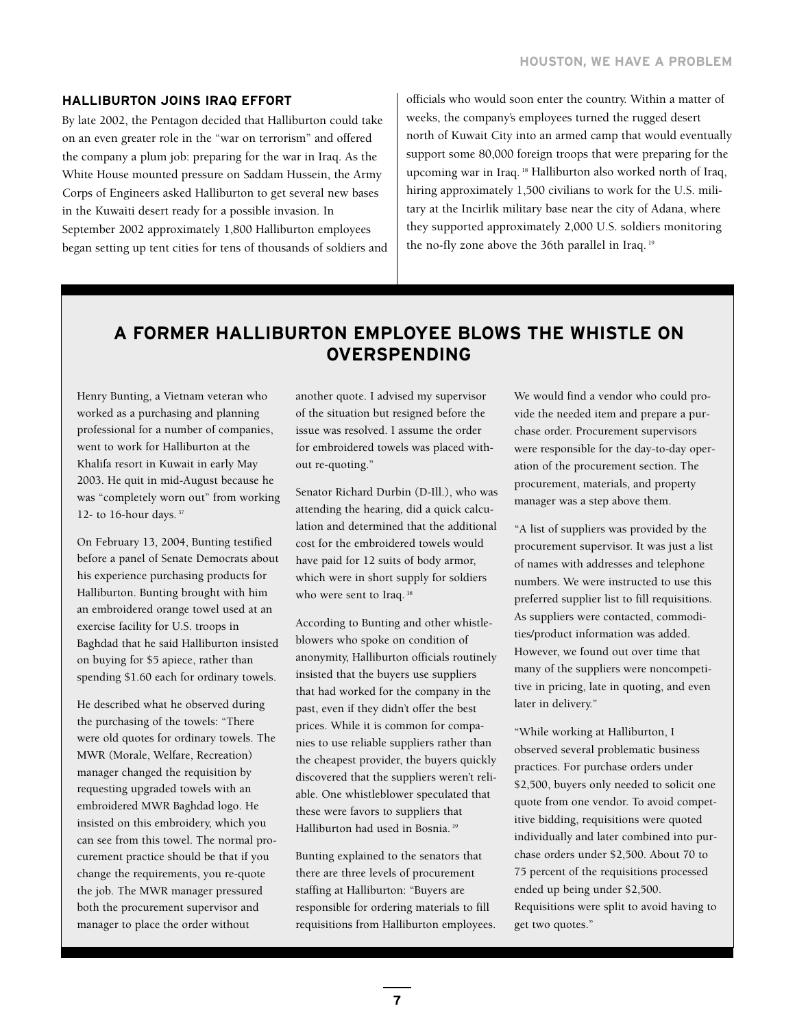#### **HALLIBURTON JOINS IRAQ EFFORT**

By late 2002, the Pentagon decided that Halliburton could take on an even greater role in the "war on terrorism" and offered the company a plum job: preparing for the war in Iraq. As the White House mounted pressure on Saddam Hussein, the Army Corps of Engineers asked Halliburton to get several new bases in the Kuwaiti desert ready for a possible invasion. In September 2002 approximately 1,800 Halliburton employees began setting up tent cities for tens of thousands of soldiers and officials who would soon enter the country. Within a matter of weeks, the company's employees turned the rugged desert north of Kuwait City into an armed camp that would eventually support some 80,000 foreign troops that were preparing for the upcoming war in Iraq. <sup>18</sup> Halliburton also worked north of Iraq, hiring approximately 1,500 civilians to work for the U.S. military at the Incirlik military base near the city of Adana, where they supported approximately 2,000 U.S. soldiers monitoring the no-fly zone above the 36th parallel in Iraq.<sup>19</sup>

# **A FORMER HALLIBURTON EMPLOYEE BLOWS THE WHISTLE ON OVERSPENDING**

Henry Bunting, a Vietnam veteran who worked as a purchasing and planning professional for a number of companies, went to work for Halliburton at the Khalifa resort in Kuwait in early May 2003. He quit in mid-August because he was "completely worn out" from working 12- to 16-hour days. <sup>37</sup>

On February 13, 2004, Bunting testified before a panel of Senate Democrats about his experience purchasing products for Halliburton. Bunting brought with him an embroidered orange towel used at an exercise facility for U.S. troops in Baghdad that he said Halliburton insisted on buying for \$5 apiece, rather than spending \$1.60 each for ordinary towels.

He described what he observed during the purchasing of the towels: "There were old quotes for ordinary towels. The MWR (Morale, Welfare, Recreation) manager changed the requisition by requesting upgraded towels with an embroidered MWR Baghdad logo. He insisted on this embroidery, which you can see from this towel. The normal procurement practice should be that if you change the requirements, you re-quote the job. The MWR manager pressured both the procurement supervisor and manager to place the order without

another quote. I advised my supervisor of the situation but resigned before the issue was resolved. I assume the order for embroidered towels was placed without re-quoting."

Senator Richard Durbin (D-Ill.), who was attending the hearing, did a quick calculation and determined that the additional cost for the embroidered towels would have paid for 12 suits of body armor, which were in short supply for soldiers who were sent to Iraq.<sup>38</sup>

According to Bunting and other whistleblowers who spoke on condition of anonymity, Halliburton officials routinely insisted that the buyers use suppliers that had worked for the company in the past, even if they didn't offer the best prices. While it is common for companies to use reliable suppliers rather than the cheapest provider, the buyers quickly discovered that the suppliers weren't reliable. One whistleblower speculated that these were favors to suppliers that Halliburton had used in Bosnia. <sup>39</sup>

Bunting explained to the senators that there are three levels of procurement staffing at Halliburton: "Buyers are responsible for ordering materials to fill requisitions from Halliburton employees. We would find a vendor who could provide the needed item and prepare a purchase order. Procurement supervisors were responsible for the day-to-day operation of the procurement section. The procurement, materials, and property manager was a step above them.

"A list of suppliers was provided by the procurement supervisor. It was just a list of names with addresses and telephone numbers. We were instructed to use this preferred supplier list to fill requisitions. As suppliers were contacted, commodities/product information was added. However, we found out over time that many of the suppliers were noncompetitive in pricing, late in quoting, and even later in delivery."

"While working at Halliburton, I observed several problematic business practices. For purchase orders under \$2,500, buyers only needed to solicit one quote from one vendor. To avoid competitive bidding, requisitions were quoted individually and later combined into purchase orders under \$2,500. About 70 to 75 percent of the requisitions processed ended up being under \$2,500. Requisitions were split to avoid having to get two quotes."

**7**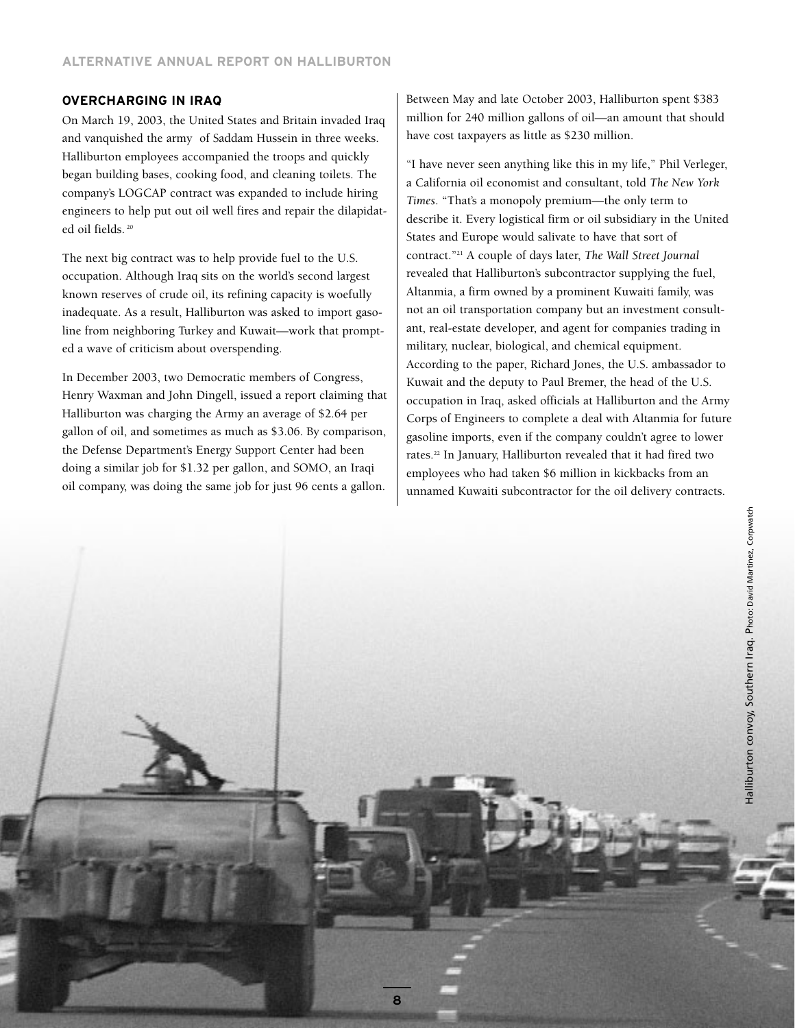#### **OVERCHARGING IN IRAQ**

On March 19, 2003, the United States and Britain invaded Iraq and vanquished the army of Saddam Hussein in three weeks. Halliburton employees accompanied the troops and quickly began building bases, cooking food, and cleaning toilets. The company's LOGCAP contract was expanded to include hiring engineers to help put out oil well fires and repair the dilapidated oil fields.<sup>20</sup>

The next big contract was to help provide fuel to the U.S. occupation. Although Iraq sits on the world's second largest known reserves of crude oil, its refining capacity is woefully inadequate. As a result, Halliburton was asked to import gasoline from neighboring Turkey and Kuwait—work that prompted a wave of criticism about overspending.

In December 2003, two Democratic members of Congress, Henry Waxman and John Dingell, issued a report claiming that Halliburton was charging the Army an average of \$2.64 per gallon of oil, and sometimes as much as \$3.06. By comparison, the Defense Department's Energy Support Center had been doing a similar job for \$1.32 per gallon, and SOMO, an Iraqi oil company, was doing the same job for just 96 cents a gallon.

Between May and late October 2003, Halliburton spent \$383 million for 240 million gallons of oil—an amount that should have cost taxpayers as little as \$230 million.

"I have never seen anything like this in my life," Phil Verleger, a California oil economist and consultant, told *The New York Times*. "That's a monopoly premium—the only term to describe it. Every logistical firm or oil subsidiary in the United States and Europe would salivate to have that sort of contract."21 A couple of days later, *The Wall Street Journal* revealed that Halliburton's subcontractor supplying the fuel, Altanmia, a firm owned by a prominent Kuwaiti family, was not an oil transportation company but an investment consultant, real-estate developer, and agent for companies trading in military, nuclear, biological, and chemical equipment. According to the paper, Richard Jones, the U.S. ambassador to Kuwait and the deputy to Paul Bremer, the head of the U.S. occupation in Iraq, asked officials at Halliburton and the Army Corps of Engineers to complete a deal with Altanmia for future gasoline imports, even if the company couldn't agree to lower rates.22 In January, Halliburton revealed that it had fired two employees who had taken \$6 million in kickbacks from an unnamed Kuwaiti subcontractor for the oil delivery contracts.

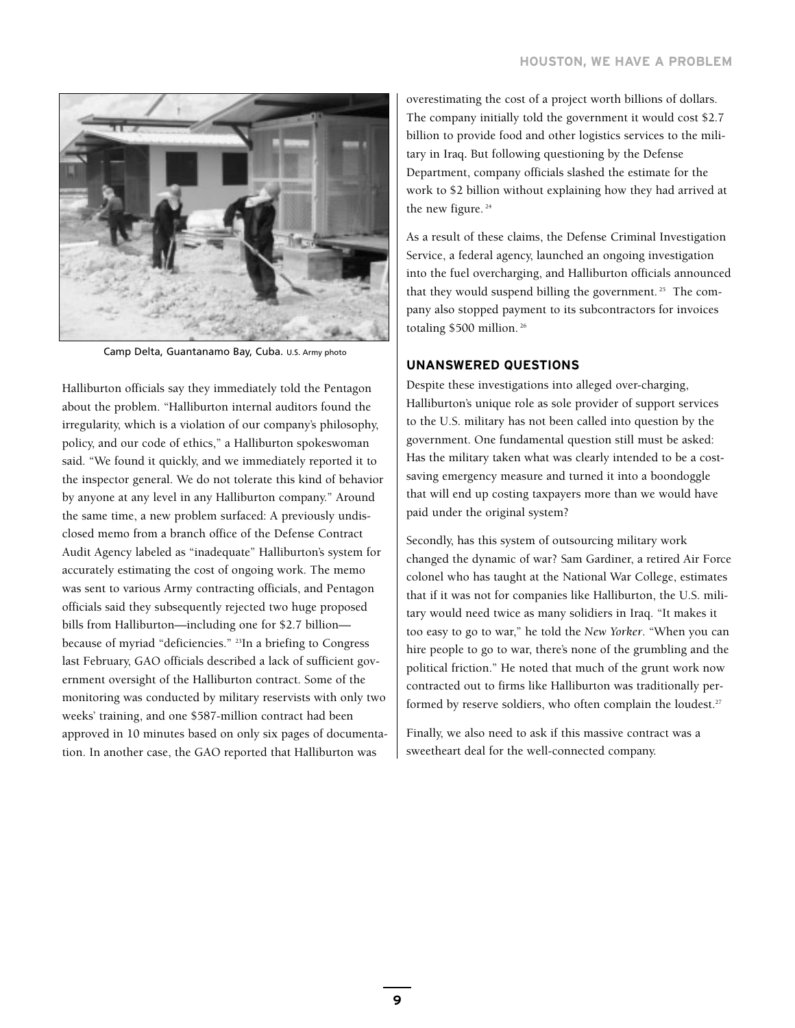

Camp Delta, Guantanamo Bay, Cuba. U.S. Army photo

Halliburton officials say they immediately told the Pentagon about the problem. "Halliburton internal auditors found the irregularity, which is a violation of our company's philosophy, policy, and our code of ethics," a Halliburton spokeswoman said. "We found it quickly, and we immediately reported it to the inspector general. We do not tolerate this kind of behavior by anyone at any level in any Halliburton company." Around the same time, a new problem surfaced: A previously undisclosed memo from a branch office of the Defense Contract Audit Agency labeled as "inadequate" Halliburton's system for accurately estimating the cost of ongoing work. The memo was sent to various Army contracting officials, and Pentagon officials said they subsequently rejected two huge proposed bills from Halliburton—including one for \$2.7 billion because of myriad "deficiencies." 23In a briefing to Congress last February, GAO officials described a lack of sufficient government oversight of the Halliburton contract. Some of the monitoring was conducted by military reservists with only two weeks' training, and one \$587-million contract had been approved in 10 minutes based on only six pages of documentation. In another case, the GAO reported that Halliburton was

overestimating the cost of a project worth billions of dollars. The company initially told the government it would cost \$2.7 billion to provide food and other logistics services to the military in Iraq**.** But following questioning by the Defense Department, company officials slashed the estimate for the work to \$2 billion without explaining how they had arrived at the new figure.<sup>24</sup>

As a result of these claims, the Defense Criminal Investigation Service, a federal agency, launched an ongoing investigation into the fuel overcharging, and Halliburton officials announced that they would suspend billing the government.<sup>25</sup> The company also stopped payment to its subcontractors for invoices totaling \$500 million.<sup>26</sup>

#### **UNANSWERED QUESTIONS**

Despite these investigations into alleged over-charging, Halliburton's unique role as sole provider of support services to the U.S. military has not been called into question by the government. One fundamental question still must be asked: Has the military taken what was clearly intended to be a costsaving emergency measure and turned it into a boondoggle that will end up costing taxpayers more than we would have paid under the original system?

Secondly, has this system of outsourcing military work changed the dynamic of war? Sam Gardiner, a retired Air Force colonel who has taught at the National War College, estimates that if it was not for companies like Halliburton, the U.S. military would need twice as many solidiers in Iraq. "It makes it too easy to go to war," he told the *New Yorker*. "When you can hire people to go to war, there's none of the grumbling and the political friction." He noted that much of the grunt work now contracted out to firms like Halliburton was traditionally performed by reserve soldiers, who often complain the loudest.<sup>27</sup>

Finally, we also need to ask if this massive contract was a sweetheart deal for the well-connected company.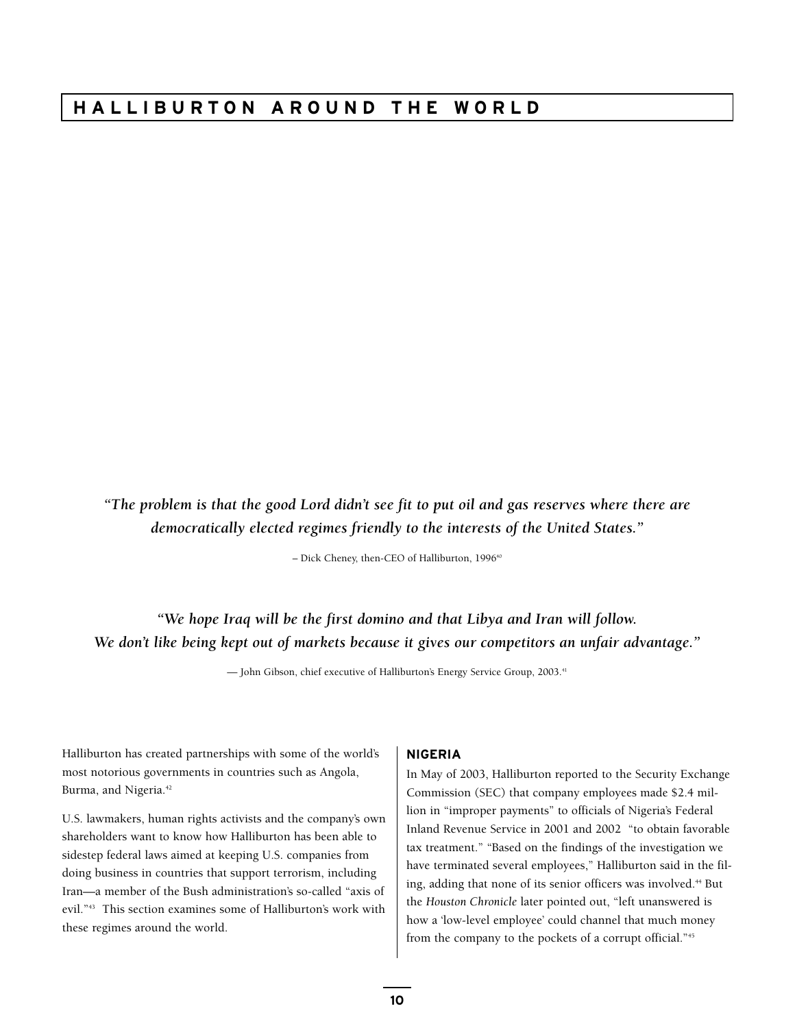# **HALLIBURTON AROUND THE WORLD**

*"The problem is that the good Lord didn't see fit to put oil and gas reserves where there are democratically elected regimes friendly to the interests of the United States."* 

– Dick Cheney, then-CEO of Halliburton, 1996<sup>40</sup>

# *"We hope Iraq will be the first domino and that Libya and Iran will follow. We don't like being kept out of markets because it gives our competitors an unfair advantage."*

— John Gibson, chief executive of Halliburton's Energy Service Group, 2003.41

Halliburton has created partnerships with some of the world's most notorious governments in countries such as Angola, Burma, and Nigeria.<sup>42</sup>

U.S. lawmakers, human rights activists and the company's own shareholders want to know how Halliburton has been able to sidestep federal laws aimed at keeping U.S. companies from doing business in countries that support terrorism, including Iran—a member of the Bush administration's so-called "axis of evil."43 This section examines some of Halliburton's work with these regimes around the world.

#### **NIGERIA**

In May of 2003, Halliburton reported to the Security Exchange Commission (SEC) that company employees made \$2.4 million in "improper payments" to officials of Nigeria's Federal Inland Revenue Service in 2001 and 2002 "to obtain favorable tax treatment." "Based on the findings of the investigation we have terminated several employees," Halliburton said in the filing, adding that none of its senior officers was involved.<sup>44</sup> But the *Houston Chronicle* later pointed out, "left unanswered is how a 'low-level employee' could channel that much money from the company to the pockets of a corrupt official."45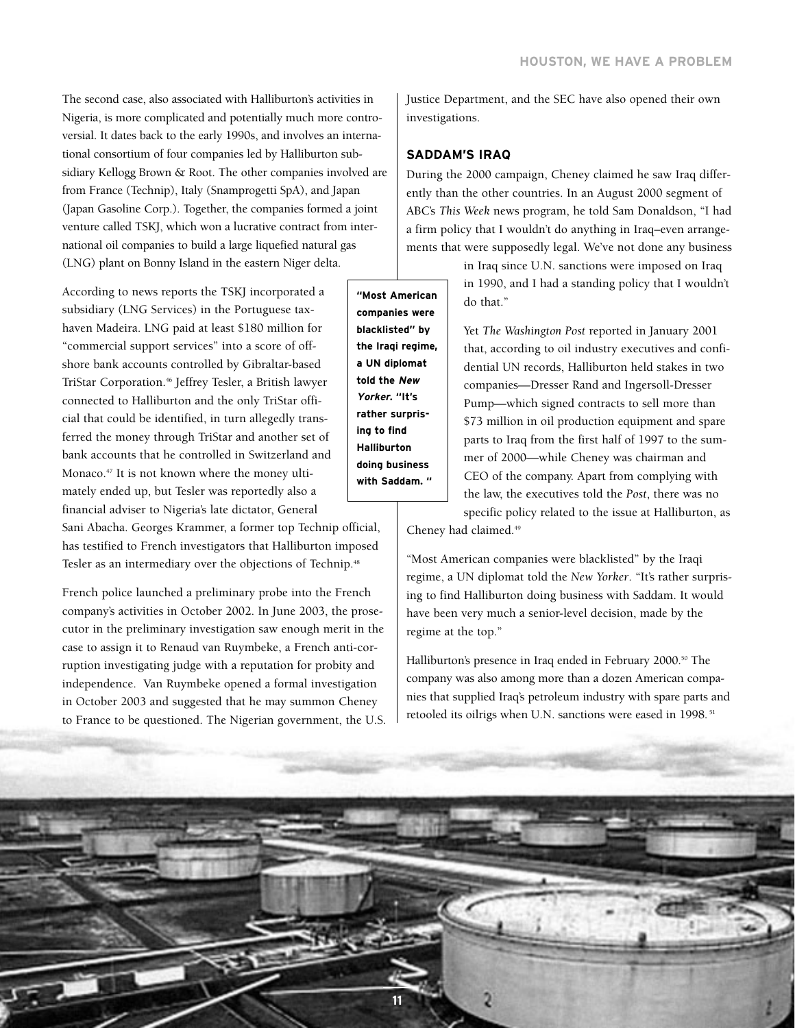The second case, also associated with Halliburton's activities in Nigeria, is more complicated and potentially much more controversial. It dates back to the early 1990s, and involves an international consortium of four companies led by Halliburton subsidiary Kellogg Brown & Root. The other companies involved are from France (Technip), Italy (Snamprogetti SpA), and Japan (Japan Gasoline Corp.). Together, the companies formed a joint venture called TSKJ, which won a lucrative contract from international oil companies to build a large liquefied natural gas (LNG) plant on Bonny Island in the eastern Niger delta.

According to news reports the TSKJ incorporated a subsidiary (LNG Services) in the Portuguese taxhaven Madeira. LNG paid at least \$180 million for "commercial support services" into a score of offshore bank accounts controlled by Gibraltar-based TriStar Corporation.46 Jeffrey Tesler, a British lawyer connected to Halliburton and the only TriStar official that could be identified, in turn allegedly transferred the money through TriStar and another set of bank accounts that he controlled in Switzerland and Monaco.<sup>47</sup> It is not known where the money ultimately ended up, but Tesler was reportedly also a financial adviser to Nigeria's late dictator, General

Sani Abacha. Georges Krammer, a former top Technip official, has testified to French investigators that Halliburton imposed Tesler as an intermediary over the objections of Technip.<sup>48</sup>

French police launched a preliminary probe into the French company's activities in October 2002. In June 2003, the prosecutor in the preliminary investigation saw enough merit in the case to assign it to Renaud van Ruymbeke, a French anti-corruption investigating judge with a reputation for probity and independence. Van Ruymbeke opened a formal investigation in October 2003 and suggested that he may summon Cheney to France to be questioned. The Nigerian government, the U.S. Justice Department, and the SEC have also opened their own investigations.

#### **SADDAM'S IRAQ**

During the 2000 campaign, Cheney claimed he saw Iraq differently than the other countries. In an August 2000 segment of ABC's *This Week* news program, he told Sam Donaldson, "I had a firm policy that I wouldn't do anything in Iraq–even arrangements that were supposedly legal. We've not done any business

> in Iraq since U.N. sanctions were imposed on Iraq in 1990, and I had a standing policy that I wouldn't do that."

> Yet *The Washington Post* reported in January 2001 that, according to oil industry executives and confidential UN records, Halliburton held stakes in two companies—Dresser Rand and Ingersoll-Dresser Pump—which signed contracts to sell more than \$73 million in oil production equipment and spare parts to Iraq from the first half of 1997 to the summer of 2000—while Cheney was chairman and CEO of the company. Apart from complying with the law, the executives told the *Post*, there was no specific policy related to the issue at Halliburton, as

Cheney had claimed.<sup>49</sup>

"Most American companies were blacklisted" by the Iraqi regime, a UN diplomat told the *New Yorker*. "It's rather surprising to find Halliburton doing business with Saddam. It would have been very much a senior-level decision, made by the regime at the top."

Halliburton's presence in Iraq ended in February 2000.<sup>50</sup> The company was also among more than a dozen American companies that supplied Iraq's petroleum industry with spare parts and retooled its oilrigs when U.N. sanctions were eased in 1998. <sup>51</sup>



**"Most American companies were blacklisted" by the Iraqi regime, a UN diplomat told the New Yorker. "It's rather surprising to find Halliburton doing business with Saddam. "**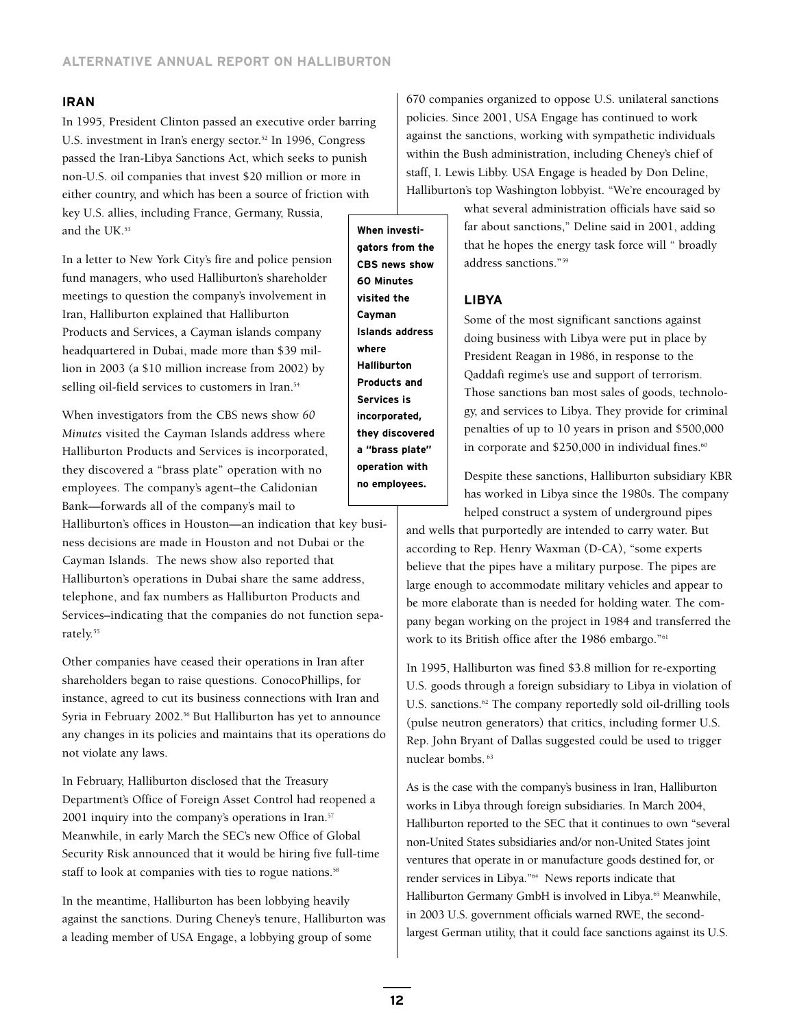### **IRAN**

In 1995, President Clinton passed an executive order barring U.S. investment in Iran's energy sector.<sup>52</sup> In 1996, Congress passed the Iran-Libya Sanctions Act, which seeks to punish non-U.S. oil companies that invest \$20 million or more in either country, and which has been a source of friction with key U.S. allies, including France, Germany, Russia, and the UK.<sup>53</sup> **When investi-**

In a letter to New York City's fire and police pension fund managers, who used Halliburton's shareholder meetings to question the company's involvement in Iran, Halliburton explained that Halliburton Products and Services, a Cayman islands company headquartered in Dubai, made more than \$39 million in 2003 (a \$10 million increase from 2002) by selling oil-field services to customers in Iran.<sup>54</sup>

When investigators from the CBS news show *60 Minutes* visited the Cayman Islands address where Halliburton Products and Services is incorporated, they discovered a "brass plate" operation with no employees. The company's agent–the Calidonian Bank—forwards all of the company's mail to

Halliburton's offices in Houston—an indication that key business decisions are made in Houston and not Dubai or the Cayman Islands. The news show also reported that Halliburton's operations in Dubai share the same address, telephone, and fax numbers as Halliburton Products and Services–indicating that the companies do not function separately.<sup>55</sup>

Other companies have ceased their operations in Iran after shareholders began to raise questions. ConocoPhillips, for instance, agreed to cut its business connections with Iran and Syria in February 2002.<sup>56</sup> But Halliburton has yet to announce any changes in its policies and maintains that its operations do not violate any laws.

In February, Halliburton disclosed that the Treasury Department's Office of Foreign Asset Control had reopened a 2001 inquiry into the company's operations in Iran.<sup>57</sup> Meanwhile, in early March the SEC's new Office of Global Security Risk announced that it would be hiring five full-time staff to look at companies with ties to rogue nations.<sup>58</sup>

In the meantime, Halliburton has been lobbying heavily against the sanctions. During Cheney's tenure, Halliburton was a leading member of USA Engage, a lobbying group of some

670 companies organized to oppose U.S. unilateral sanctions policies. Since 2001, USA Engage has continued to work against the sanctions, working with sympathetic individuals within the Bush administration, including Cheney's chief of staff, I. Lewis Libby. USA Engage is headed by Don Deline, Halliburton's top Washington lobbyist. "We're encouraged by

> what several administration officials have said so far about sanctions," Deline said in 2001, adding that he hopes the energy task force will " broadly address sanctions."59

#### **LIBYA**

**gators from the CBS news show 60 Minutes visited the Cayman Islands address**

**where Halliburton Products and Services is incorporated, they discovered a "brass plate" operation with no employees.**

Some of the most significant sanctions against doing business with Libya were put in place by President Reagan in 1986, in response to the Qaddafi regime's use and support of terrorism. Those sanctions ban most sales of goods, technology, and services to Libya. They provide for criminal penalties of up to 10 years in prison and \$500,000 in corporate and \$250,000 in individual fines. $60$ 

Despite these sanctions, Halliburton subsidiary KBR has worked in Libya since the 1980s. The company helped construct a system of underground pipes

and wells that purportedly are intended to carry water. But according to Rep. Henry Waxman (D-CA), "some experts believe that the pipes have a military purpose. The pipes are large enough to accommodate military vehicles and appear to be more elaborate than is needed for holding water. The company began working on the project in 1984 and transferred the work to its British office after the 1986 embargo."<sup>61</sup>

In 1995, Halliburton was fined \$3.8 million for re-exporting U.S. goods through a foreign subsidiary to Libya in violation of U.S. sanctions.<sup>62</sup> The company reportedly sold oil-drilling tools (pulse neutron generators) that critics, including former U.S. Rep. John Bryant of Dallas suggested could be used to trigger nuclear bombs. <sup>63</sup>

As is the case with the company's business in Iran, Halliburton works in Libya through foreign subsidiaries. In March 2004, Halliburton reported to the SEC that it continues to own "several non-United States subsidiaries and/or non-United States joint ventures that operate in or manufacture goods destined for, or render services in Libya."64 News reports indicate that Halliburton Germany GmbH is involved in Libya.<sup>65</sup> Meanwhile, in 2003 U.S. government officials warned RWE, the secondlargest German utility, that it could face sanctions against its U.S.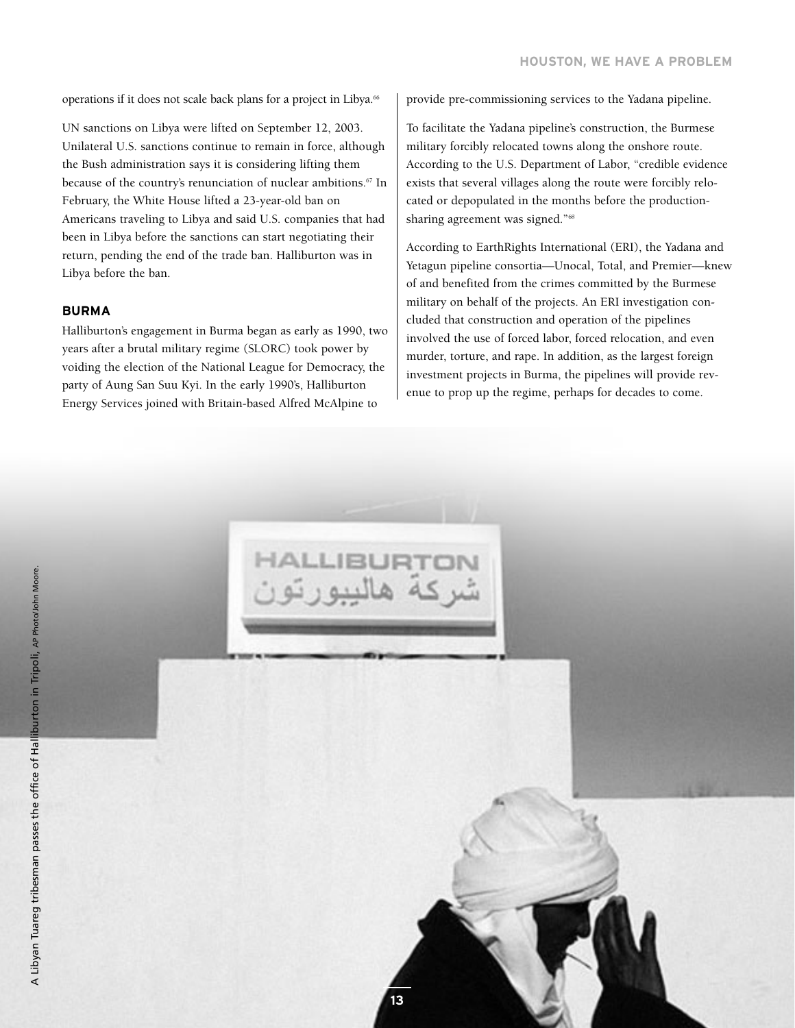operations if it does not scale back plans for a project in Libya.<sup>66</sup>

UN sanctions on Libya were lifted on September 12, 2003. Unilateral U.S. sanctions continue to remain in force, although the Bush administration says it is considering lifting them because of the country's renunciation of nuclear ambitions.<sup>67</sup> In February, the White House lifted a 23-year-old ban on Americans traveling to Libya and said U.S. companies that had been in Libya before the sanctions can start negotiating their return, pending the end of the trade ban. Halliburton was in Libya before the ban.

#### **BURMA**

Halliburton's engagement in Burma began as early as 1990, two years after a brutal military regime (SLORC) took power by voiding the election of the National League for Democracy, the party of Aung San Suu Kyi. In the early 1990's, Halliburton Energy Services joined with Britain-based Alfred McAlpine to

provide pre-commissioning services to the Yadana pipeline.

To facilitate the Yadana pipeline's construction, the Burmese military forcibly relocated towns along the onshore route. According to the U.S. Department of Labor, "credible evidence exists that several villages along the route were forcibly relocated or depopulated in the months before the productionsharing agreement was signed."68

According to EarthRights International (ERI), the Yadana and Yetagun pipeline consortia—Unocal, Total, and Premier—knew of and benefited from the crimes committed by the Burmese military on behalf of the projects. An ERI investigation concluded that construction and operation of the pipelines involved the use of forced labor, forced relocation, and even murder, torture, and rape. In addition, as the largest foreign investment projects in Burma, the pipelines will provide revenue to prop up the regime, perhaps for decades to come.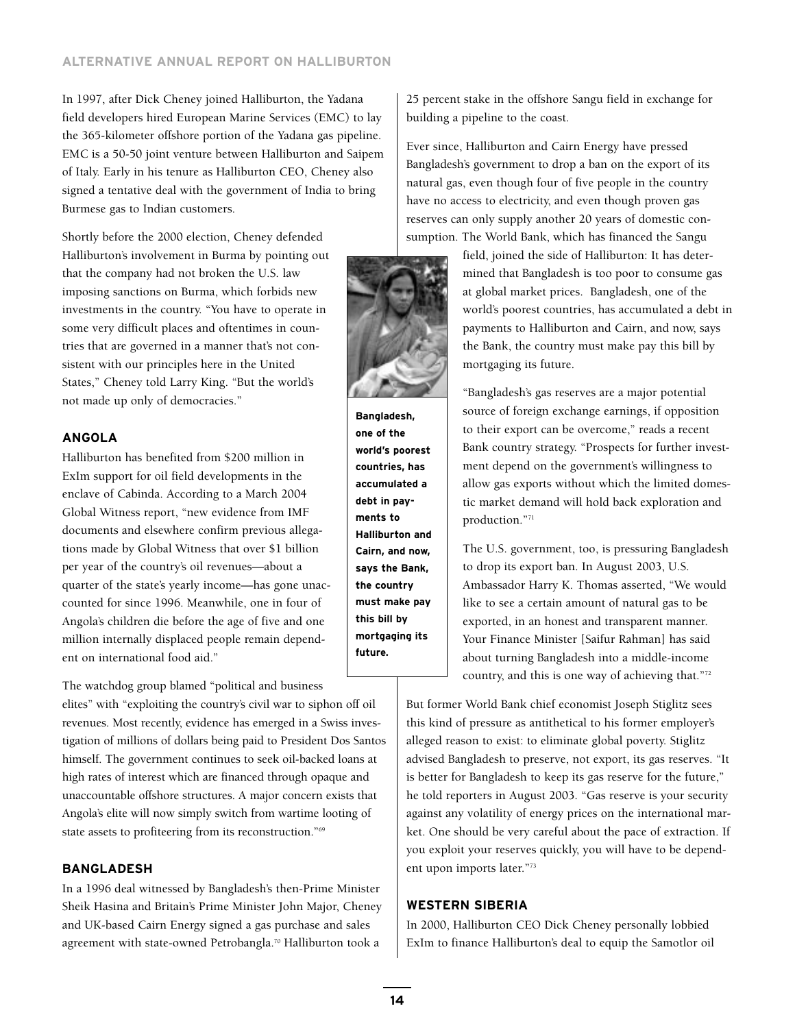In 1997, after Dick Cheney joined Halliburton, the Yadana field developers hired European Marine Services (EMC) to lay the 365-kilometer offshore portion of the Yadana gas pipeline. EMC is a 50-50 joint venture between Halliburton and Saipem of Italy. Early in his tenure as Halliburton CEO, Cheney also signed a tentative deal with the government of India to bring Burmese gas to Indian customers.

Shortly before the 2000 election, Cheney defended Halliburton's involvement in Burma by pointing out that the company had not broken the U.S. law imposing sanctions on Burma, which forbids new investments in the country. "You have to operate in some very difficult places and oftentimes in countries that are governed in a manner that's not consistent with our principles here in the United States," Cheney told Larry King. "But the world's not made up only of democracies."

#### **ANGOLA**

Halliburton has benefited from \$200 million in ExIm support for oil field developments in the enclave of Cabinda. According to a March 2004 Global Witness report, "new evidence from IMF documents and elsewhere confirm previous allegations made by Global Witness that over \$1 billion per year of the country's oil revenues—about a quarter of the state's yearly income—has gone unaccounted for since 1996. Meanwhile, one in four of Angola's children die before the age of five and one million internally displaced people remain dependent on international food aid."

The watchdog group blamed "political and business elites" with "exploiting the country's civil war to siphon off oil revenues. Most recently, evidence has emerged in a Swiss investigation of millions of dollars being paid to President Dos Santos himself. The government continues to seek oil-backed loans at high rates of interest which are financed through opaque and unaccountable offshore structures. A major concern exists that Angola's elite will now simply switch from wartime looting of state assets to profiteering from its reconstruction."<sup>69</sup>

#### **BANGLADESH**

In a 1996 deal witnessed by Bangladesh's then-Prime Minister Sheik Hasina and Britain's Prime Minister John Major, Cheney and UK-based Cairn Energy signed a gas purchase and sales agreement with state-owned Petrobangla.<sup>70</sup> Halliburton took a

25 percent stake in the offshore Sangu field in exchange for building a pipeline to the coast.

Ever since, Halliburton and Cairn Energy have pressed Bangladesh's government to drop a ban on the export of its natural gas, even though four of five people in the country have no access to electricity, and even though proven gas reserves can only supply another 20 years of domestic consumption. The World Bank, which has financed the Sangu



**Bangladesh, one of the world's poorest countries, has accumulated a debt in payments to Halliburton and Cairn, and now, says the Bank, the country must make pay this bill by mortgaging its future.**

field, joined the side of Halliburton: It has determined that Bangladesh is too poor to consume gas at global market prices. Bangladesh, one of the world's poorest countries, has accumulated a debt in payments to Halliburton and Cairn, and now, says the Bank, the country must make pay this bill by mortgaging its future.

"Bangladesh's gas reserves are a major potential source of foreign exchange earnings, if opposition to their export can be overcome," reads a recent Bank country strategy. "Prospects for further investment depend on the government's willingness to allow gas exports without which the limited domestic market demand will hold back exploration and production."71

The U.S. government, too, is pressuring Bangladesh to drop its export ban. In August 2003, U.S. Ambassador Harry K. Thomas asserted, "We would like to see a certain amount of natural gas to be exported, in an honest and transparent manner. Your Finance Minister [Saifur Rahman] has said about turning Bangladesh into a middle-income country, and this is one way of achieving that."72

But former World Bank chief economist Joseph Stiglitz sees this kind of pressure as antithetical to his former employer's alleged reason to exist: to eliminate global poverty. Stiglitz advised Bangladesh to preserve, not export, its gas reserves. "It is better for Bangladesh to keep its gas reserve for the future," he told reporters in August 2003. "Gas reserve is your security against any volatility of energy prices on the international market. One should be very careful about the pace of extraction. If you exploit your reserves quickly, you will have to be dependent upon imports later."73

#### **WESTERN SIBERIA**

In 2000, Halliburton CEO Dick Cheney personally lobbied ExIm to finance Halliburton's deal to equip the Samotlor oil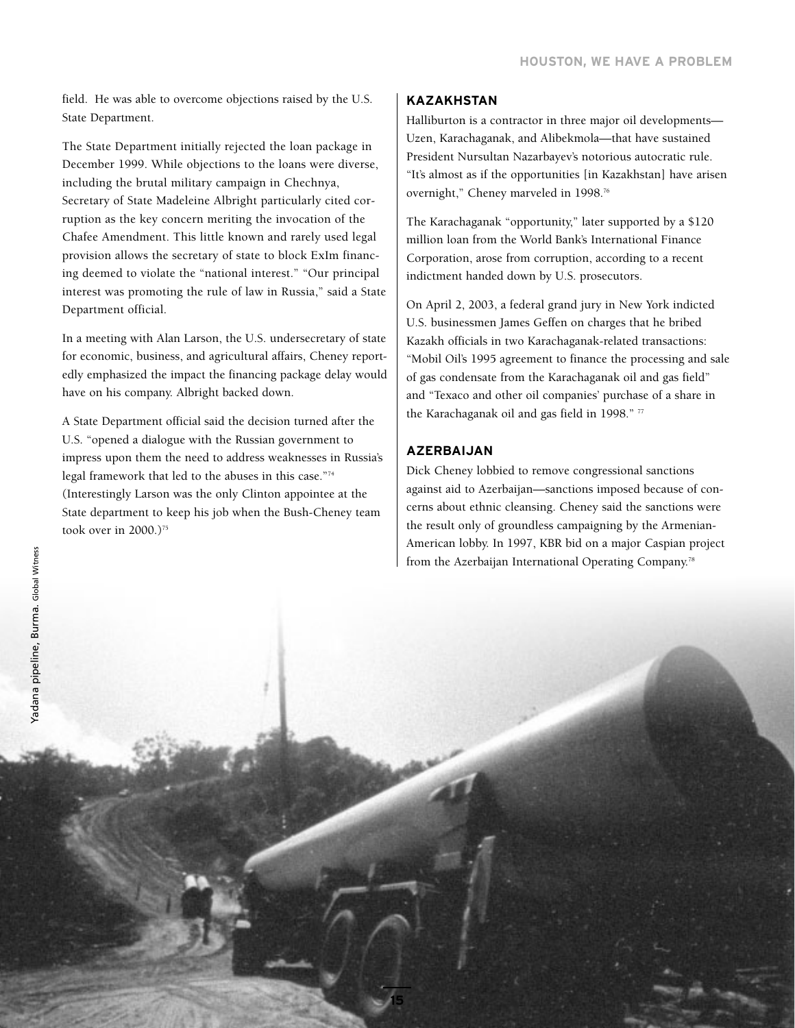field. He was able to overcome objections raised by the U.S. State Department.

The State Department initially rejected the loan package in December 1999. While objections to the loans were diverse, including the brutal military campaign in Chechnya, Secretary of State Madeleine Albright particularly cited corruption as the key concern meriting the invocation of the Chafee Amendment. This little known and rarely used legal provision allows the secretary of state to block ExIm financing deemed to violate the "national interest." "Our principal interest was promoting the rule of law in Russia," said a State Department official.

In a meeting with Alan Larson, the U.S. undersecretary of state for economic, business, and agricultural affairs, Cheney reportedly emphasized the impact the financing package delay would have on his company. Albright backed down.

A State Department official said the decision turned after the U.S. "opened a dialogue with the Russian government to impress upon them the need to address weaknesses in Russia's legal framework that led to the abuses in this case."74 (Interestingly Larson was the only Clinton appointee at the State department to keep his job when the Bush-Cheney team took over in  $2000$ .)<sup>75</sup>

#### **KAZAKHSTAN**

Halliburton is a contractor in three major oil developments— Uzen, Karachaganak, and Alibekmola—that have sustained President Nursultan Nazarbayev's notorious autocratic rule. "It's almost as if the opportunities [in Kazakhstan] have arisen overnight," Cheney marveled in 1998.76

The Karachaganak "opportunity," later supported by a \$120 million loan from the World Bank's International Finance Corporation, arose from corruption, according to a recent indictment handed down by U.S. prosecutors.

On April 2, 2003, a federal grand jury in New York indicted U.S. businessmen James Geffen on charges that he bribed Kazakh officials in two Karachaganak-related transactions: "Mobil Oil's 1995 agreement to finance the processing and sale of gas condensate from the Karachaganak oil and gas field" and "Texaco and other oil companies' purchase of a share in the Karachaganak oil and gas field in 1998."<sup>77</sup>

#### **AZERBAIJAN**

**15**

Dick Cheney lobbied to remove congressional sanctions against aid to Azerbaijan—sanctions imposed because of concerns about ethnic cleansing. Cheney said the sanctions were the result only of groundless campaigning by the Armenian-American lobby. In 1997, KBR bid on a major Caspian project from the Azerbaijan International Operating Company.78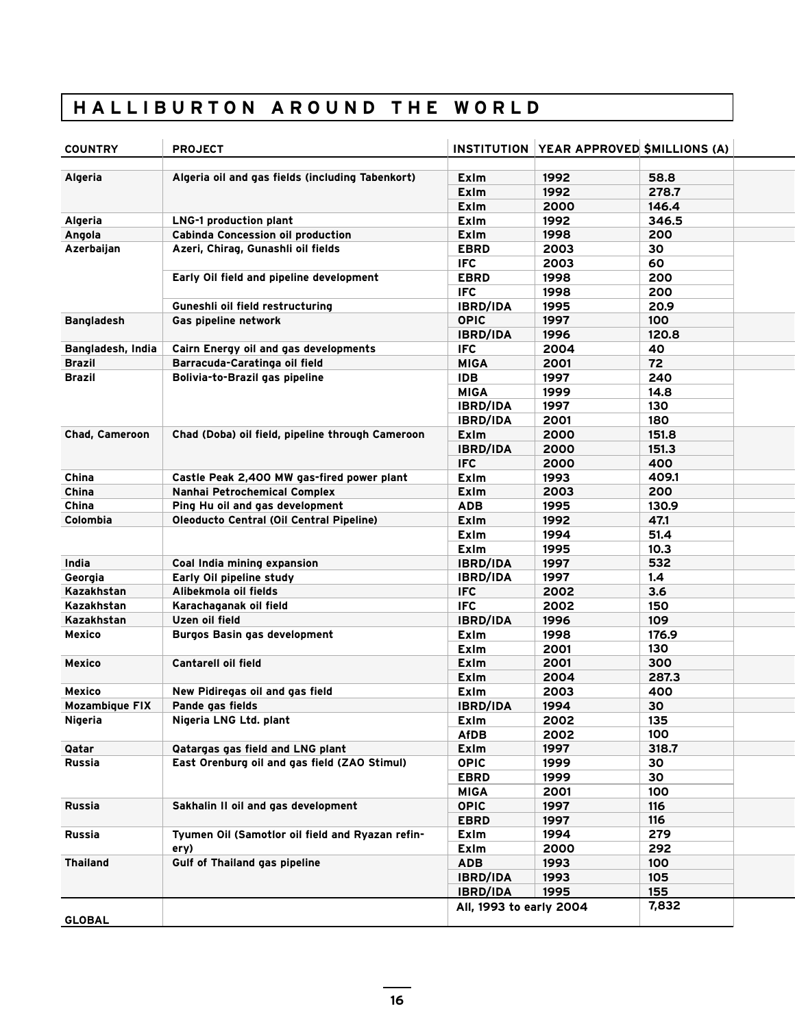# **HALLIBURTON AROUND THE WORLD**

| <b>COUNTRY</b>        | <b>PROJECT</b>                                   |                         | INSTITUTION YEAR APPROVED SMILLIONS (A) |              |  |
|-----------------------|--------------------------------------------------|-------------------------|-----------------------------------------|--------------|--|
| Algeria               | Algeria oil and gas fields (including Tabenkort) | <b>Exim</b>             | 1992                                    | 58.8         |  |
|                       |                                                  | <b>Exlm</b>             | 1992                                    | 278.7        |  |
|                       |                                                  | Exlm                    | 2000                                    | 146.4        |  |
| Algeria               | <b>LNG-1 production plant</b>                    | <b>Exlm</b>             | 1992                                    | 346.5        |  |
| Angola                | <b>Cabinda Concession oil production</b>         | <b>Exlm</b>             | 1998                                    | 200          |  |
| Azerbaijan            | Azeri, Chirag, Gunashli oil fields               | <b>EBRD</b>             | 2003                                    | 30           |  |
|                       |                                                  | <b>IFC</b>              | 2003                                    | 60           |  |
|                       | Early Oil field and pipeline development         | <b>EBRD</b>             | 1998                                    | 200          |  |
|                       |                                                  | <b>IFC</b>              | 1998                                    | 200          |  |
|                       | Guneshli oil field restructuring                 | <b>IBRD/IDA</b>         | 1995                                    | 20.9         |  |
| <b>Bangladesh</b>     | Gas pipeline network                             | <b>OPIC</b>             | 1997                                    | 100          |  |
|                       |                                                  | <b>IBRD/IDA</b>         | 1996                                    | 120.8        |  |
| Bangladesh, India     | Cairn Energy oil and gas developments            | <b>IFC</b>              | 2004                                    | 40           |  |
| <b>Brazil</b>         | Barracuda-Caratinga oil field                    | MIGA                    | 2001                                    | 72           |  |
| <b>Brazil</b>         | Bolivia-to-Brazil gas pipeline                   | <b>IDB</b>              | 1997                                    | 240          |  |
|                       |                                                  | <b>MIGA</b>             | 1999                                    | 14.8         |  |
|                       |                                                  | <b>IBRD/IDA</b>         | 1997                                    | 130          |  |
|                       |                                                  | <b>IBRD/IDA</b>         | 2001                                    | 180          |  |
| <b>Chad, Cameroon</b> | Chad (Doba) oil field, pipeline through Cameroon | Exlm                    | 2000                                    | 151.8        |  |
|                       |                                                  |                         |                                         |              |  |
|                       |                                                  | <b>IBRD/IDA</b>         | 2000                                    | 151.3        |  |
|                       |                                                  | <b>IFC</b>              | 2000                                    | 400<br>409.1 |  |
| China                 | Castle Peak 2,400 MW gas-fired power plant       | <b>Exlm</b>             | 1993                                    |              |  |
| <b>China</b>          | Nanhai Petrochemical Complex                     | <b>Exlm</b>             | 2003                                    | 200          |  |
| China                 | Ping Hu oil and gas development                  | <b>ADB</b>              | 1995                                    | 130.9        |  |
| Colombia              | Oleoducto Central (Oil Central Pipeline)         | <b>Exlm</b>             | 1992                                    | 47.1         |  |
|                       |                                                  | <b>Exim</b>             | 1994                                    | 51.4         |  |
|                       |                                                  | Exlm                    | 1995                                    | 10.3         |  |
| India                 | Coal India mining expansion                      | <b>IBRD/IDA</b>         | 1997                                    | 532          |  |
| Georgia               | Early Oil pipeline study                         | <b>IBRD/IDA</b>         | 1997                                    | 1.4          |  |
| Kazakhstan            | Alibekmola oil fields                            | <b>IFC</b>              | 2002                                    | 3.6          |  |
| Kazakhstan            | Karachaganak oil field                           | <b>IFC</b>              | 2002                                    | 150          |  |
| Kazakhstan            | Uzen oil field                                   | <b>IBRD/IDA</b>         | 1996                                    | 109          |  |
| <b>Mexico</b>         | <b>Burgos Basin gas development</b>              | Exlm                    | 1998                                    | 176.9        |  |
|                       |                                                  | <b>Exlm</b>             | 2001                                    | 130          |  |
| <b>Mexico</b>         | <b>Cantarell oil field</b>                       | <b>Exlm</b>             | 2001                                    | 300          |  |
|                       |                                                  | <b>Exlm</b>             | 2004                                    | 287.3        |  |
| Mexico                | New Pidiregas oil and gas field                  | Exlm                    | 2003                                    | 400          |  |
| <b>Mozambique FIX</b> | Pande gas fields                                 | <b>IBRD/IDA</b>         | 1994                                    | 30           |  |
| Nigeria               | Nigeria LNG Ltd. plant                           | Exim                    | 2002                                    | 135          |  |
|                       |                                                  | <b>AfDB</b>             | 2002                                    | 100          |  |
| Qatar                 | Qatargas gas field and LNG plant                 | Exlm                    | 1997                                    | 318.7        |  |
| <b>Russia</b>         | East Orenburg oil and gas field (ZAO Stimul)     | <b>OPIC</b>             | 1999                                    | 30           |  |
|                       |                                                  | <b>EBRD</b>             | 1999                                    | 30           |  |
|                       |                                                  | <b>MIGA</b>             | 2001                                    | 100          |  |
| <b>Russia</b>         | Sakhalin II oil and gas development              | <b>OPIC</b>             | 1997                                    | 116          |  |
|                       |                                                  | <b>EBRD</b>             | 1997                                    | 116          |  |
| <b>Russia</b>         | Tyumen Oil (Samotlor oil field and Ryazan refin- | Exlm                    | 1994                                    | 279          |  |
|                       | ery)                                             | <b>Exlm</b>             | 2000                                    | 292          |  |
| <b>Thailand</b>       | <b>Gulf of Thailand gas pipeline</b>             | <b>ADB</b>              | 1993                                    | 100          |  |
|                       |                                                  | <b>IBRD/IDA</b>         | 1993                                    | 105          |  |
|                       |                                                  | <b>IBRD/IDA</b>         | 1995                                    | 155          |  |
|                       |                                                  | All, 1993 to early 2004 |                                         | 7,832        |  |
| <b>GLOBAL</b>         |                                                  |                         |                                         |              |  |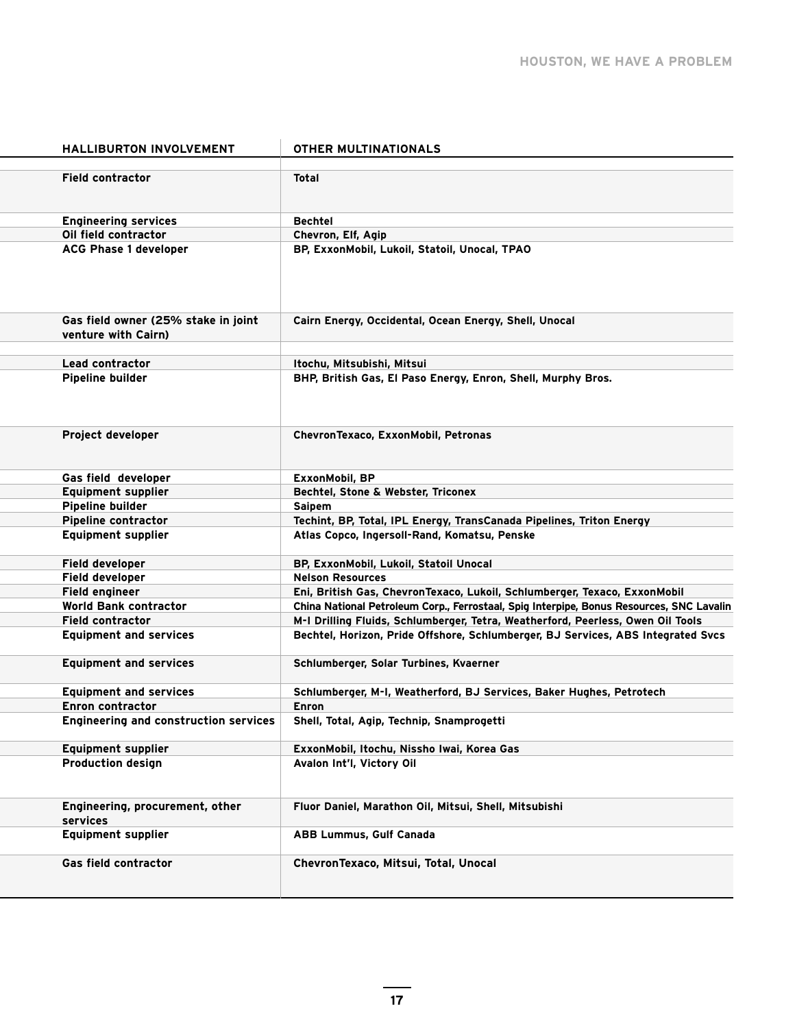| <b>HALLIBURTON INVOLVEMENT</b>               | <b>OTHER MULTINATIONALS</b>                                                              |
|----------------------------------------------|------------------------------------------------------------------------------------------|
|                                              |                                                                                          |
| <b>Field contractor</b>                      | Total                                                                                    |
|                                              |                                                                                          |
|                                              |                                                                                          |
| <b>Engineering services</b>                  | <b>Bechtel</b>                                                                           |
| Oil field contractor                         | Chevron, Elf, Agip                                                                       |
| <b>ACG Phase 1 developer</b>                 | BP, ExxonMobil, Lukoil, Statoil, Unocal, TPAO                                            |
|                                              |                                                                                          |
|                                              |                                                                                          |
| Gas field owner (25% stake in joint          | Cairn Energy, Occidental, Ocean Energy, Shell, Unocal                                    |
| venture with Cairn)                          |                                                                                          |
|                                              |                                                                                          |
| <b>Lead contractor</b>                       | Itochu, Mitsubishi, Mitsui                                                               |
| <b>Pipeline builder</b>                      | BHP, British Gas, El Paso Energy, Enron, Shell, Murphy Bros.                             |
|                                              |                                                                                          |
|                                              |                                                                                          |
|                                              |                                                                                          |
| Project developer                            | ChevronTexaco, ExxonMobil, Petronas                                                      |
|                                              |                                                                                          |
| Gas field developer                          | ExxonMobil, BP                                                                           |
| <b>Equipment supplier</b>                    | Bechtel, Stone & Webster, Triconex                                                       |
| <b>Pipeline builder</b>                      | <b>Saipem</b>                                                                            |
| <b>Pipeline contractor</b>                   | Techint, BP, Total, IPL Energy, TransCanada Pipelines, Triton Energy                     |
| <b>Equipment supplier</b>                    | Atlas Copco, Ingersoll-Rand, Komatsu, Penske                                             |
|                                              |                                                                                          |
| <b>Field developer</b>                       | BP, ExxonMobil, Lukoil, Statoil Unocal                                                   |
| <b>Field developer</b>                       | <b>Nelson Resources</b>                                                                  |
| <b>Field engineer</b>                        | Eni, British Gas, ChevronTexaco, Lukoil, Schlumberger, Texaco, ExxonMobil                |
| <b>World Bank contractor</b>                 | China National Petroleum Corp., Ferrostaal, Spig Interpipe, Bonus Resources, SNC Lavalin |
| <b>Field contractor</b>                      | M-I Drilling Fluids, Schlumberger, Tetra, Weatherford, Peerless, Owen Oil Tools          |
| <b>Equipment and services</b>                | Bechtel, Horizon, Pride Offshore, Schlumberger, BJ Services, ABS Integrated Svcs         |
|                                              |                                                                                          |
| <b>Equipment and services</b>                | Schlumberger, Solar Turbines, Kvaerner                                                   |
|                                              |                                                                                          |
| <b>Equipment and services</b>                | Schlumberger, M-I, Weatherford, BJ Services, Baker Hughes, Petrotech                     |
| <b>Enron contractor</b>                      | <b>Enron</b>                                                                             |
| <b>Engineering and construction services</b> | Shell, Total, Agip, Technip, Snamprogetti                                                |
| <b>Equipment supplier</b>                    | ExxonMobil, Itochu, Nissho Iwai, Korea Gas                                               |
| <b>Production design</b>                     | Avalon Int'l, Victory Oil                                                                |
|                                              |                                                                                          |
|                                              |                                                                                          |
| Engineering, procurement, other              | Fluor Daniel, Marathon Oil, Mitsui, Shell, Mitsubishi                                    |
| <b>services</b>                              |                                                                                          |
| <b>Equipment supplier</b>                    | <b>ABB Lummus, Gulf Canada</b>                                                           |
|                                              |                                                                                          |
| Gas field contractor                         | ChevronTexaco, Mitsui, Total, Unocal                                                     |
|                                              |                                                                                          |
|                                              |                                                                                          |

 $\sim$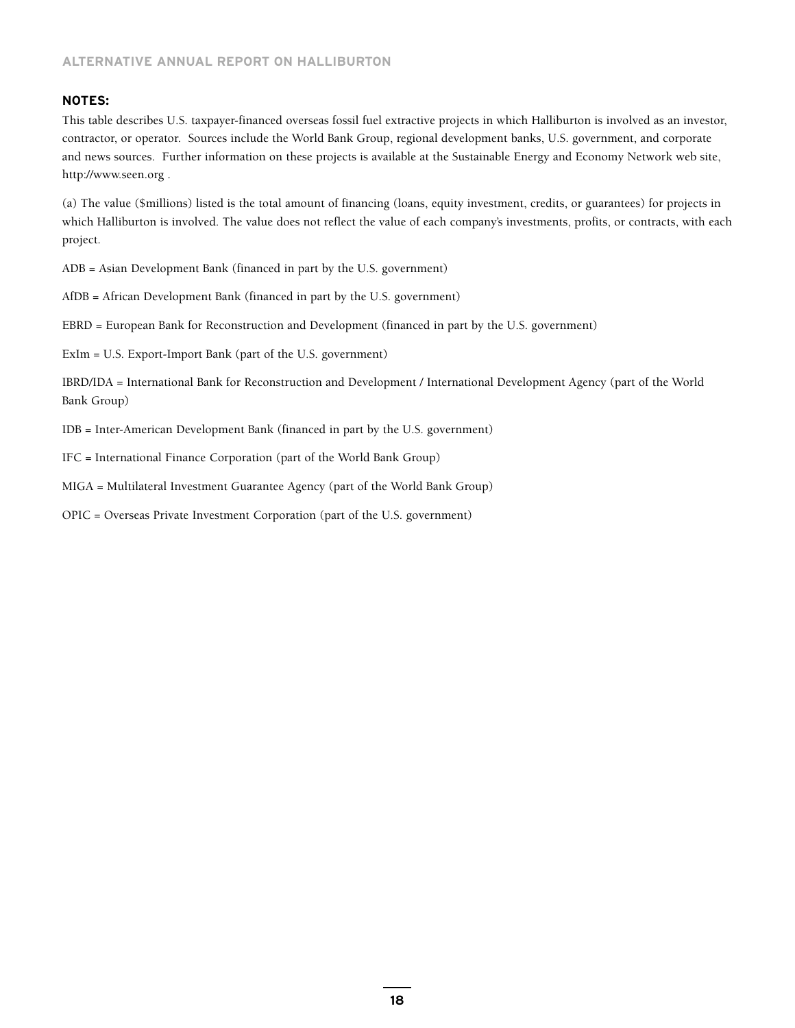#### **NOTES:**

This table describes U.S. taxpayer-financed overseas fossil fuel extractive projects in which Halliburton is involved as an investor, contractor, or operator. Sources include the World Bank Group, regional development banks, U.S. government, and corporate and news sources. Further information on these projects is available at the Sustainable Energy and Economy Network web site, http://www.seen.org .

(a) The value (\$millions) listed is the total amount of financing (loans, equity investment, credits, or guarantees) for projects in which Halliburton is involved. The value does not reflect the value of each company's investments, profits, or contracts, with each project.

ADB = Asian Development Bank (financed in part by the U.S. government)

AfDB = African Development Bank (financed in part by the U.S. government)

EBRD = European Bank for Reconstruction and Development (financed in part by the U.S. government)

ExIm = U.S. Export-Import Bank (part of the U.S. government)

IBRD/IDA = International Bank for Reconstruction and Development / International Development Agency (part of the World Bank Group)

IDB = Inter-American Development Bank (financed in part by the U.S. government)

IFC = International Finance Corporation (part of the World Bank Group)

MIGA = Multilateral Investment Guarantee Agency (part of the World Bank Group)

OPIC = Overseas Private Investment Corporation (part of the U.S. government)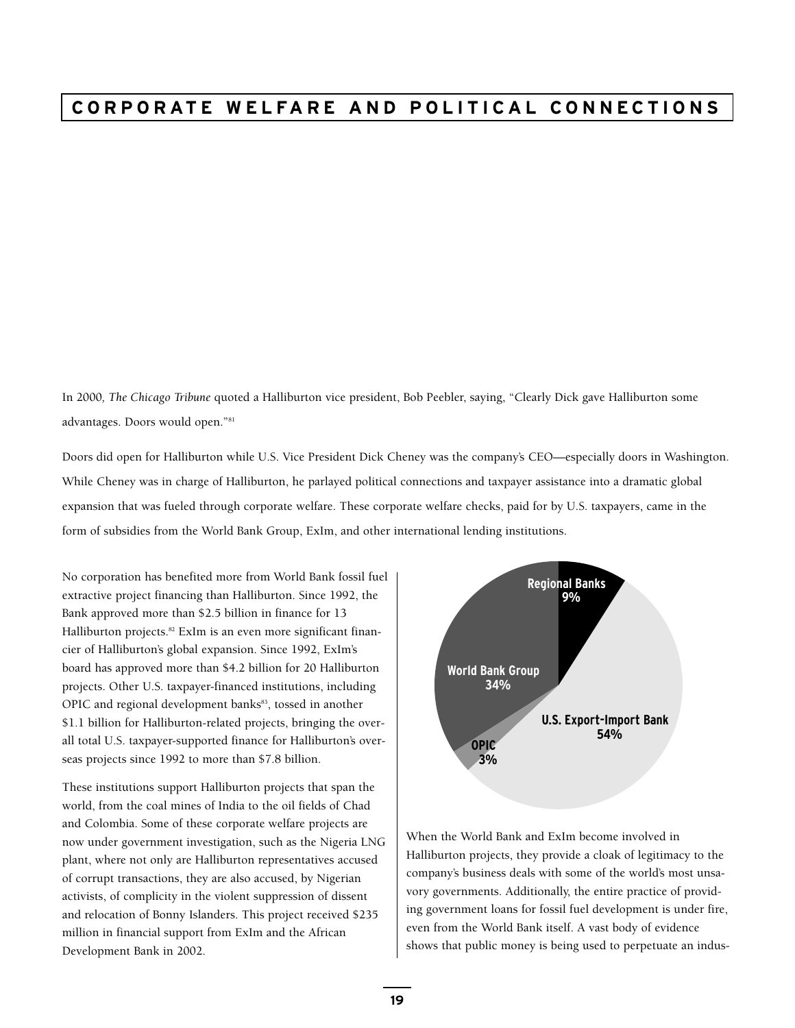# **C ORPORATE WELFARE AND POLITICAL CONNECTIONS**

In 2000*, The Chicago Tribune* quoted a Halliburton vice president, Bob Peebler, saying, "Clearly Dick gave Halliburton some advantages. Doors would open."81

Doors did open for Halliburton while U.S. Vice President Dick Cheney was the company's CEO—especially doors in Washington. While Cheney was in charge of Halliburton, he parlayed political connections and taxpayer assistance into a dramatic global expansion that was fueled through corporate welfare. These corporate welfare checks, paid for by U.S. taxpayers, came in the form of subsidies from the World Bank Group, ExIm, and other international lending institutions.

No corporation has benefited more from World Bank fossil fuel extractive project financing than Halliburton. Since 1992, the Bank approved more than \$2.5 billion in finance for 13 Halliburton projects.<sup>82</sup> ExIm is an even more significant financier of Halliburton's global expansion. Since 1992, ExIm's board has approved more than \$4.2 billion for 20 Halliburton projects. Other U.S. taxpayer-financed institutions, including OPIC and regional development banks<sup>83</sup>, tossed in another \$1.1 billion for Halliburton-related projects, bringing the overall total U.S. taxpayer-supported finance for Halliburton's overseas projects since 1992 to more than \$7.8 billion.

These institutions support Halliburton projects that span the world, from the coal mines of India to the oil fields of Chad and Colombia. Some of these corporate welfare projects are now under government investigation, such as the Nigeria LNG plant, where not only are Halliburton representatives accused of corrupt transactions, they are also accused, by Nigerian activists, of complicity in the violent suppression of dissent and relocation of Bonny Islanders. This project received \$235 million in financial support from ExIm and the African Development Bank in 2002.



When the World Bank and ExIm become involved in Halliburton projects, they provide a cloak of legitimacy to the company's business deals with some of the world's most unsavory governments. Additionally, the entire practice of providing government loans for fossil fuel development is under fire, even from the World Bank itself. A vast body of evidence shows that public money is being used to perpetuate an indus-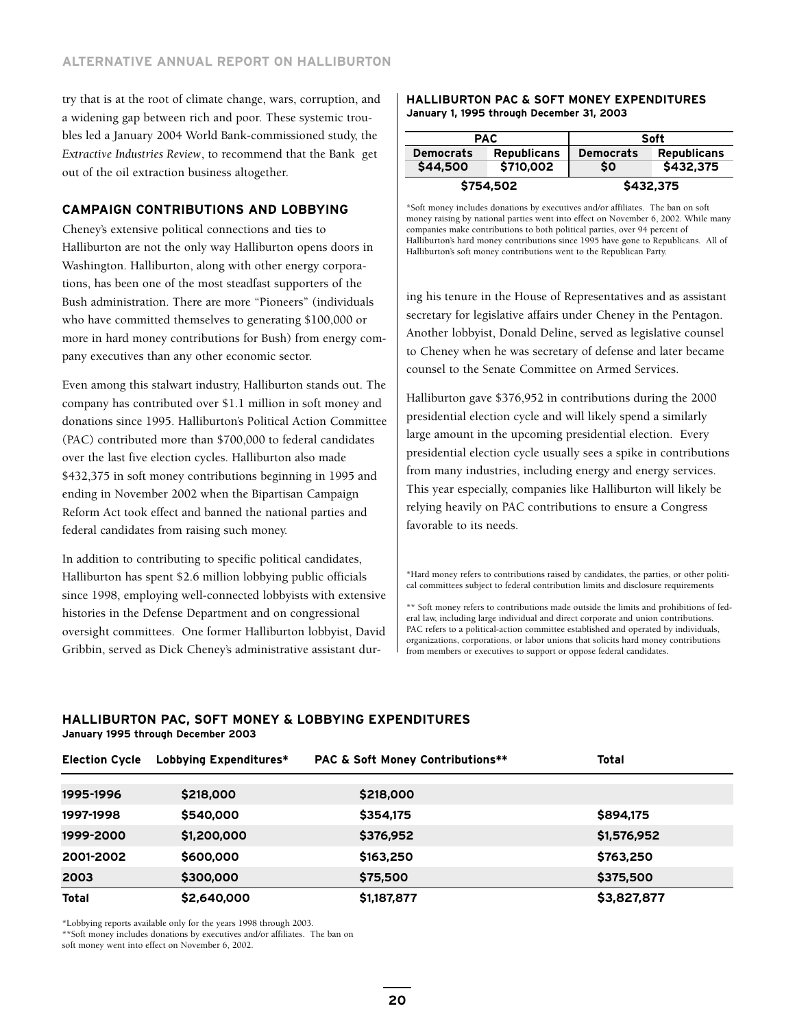try that is at the root of climate change, wars, corruption, and a widening gap between rich and poor. These systemic troubles led a January 2004 World Bank-commissioned study, the *Extractive Industries Review*, to recommend that the Bank get out of the oil extraction business altogether.

#### **CAMPAIGN CONTRIBUTIONS AND LOBBYING**

Cheney's extensive political connections and ties to Halliburton are not the only way Halliburton opens doors in Washington. Halliburton, along with other energy corporations, has been one of the most steadfast supporters of the Bush administration. There are more "Pioneers" (individuals who have committed themselves to generating \$100,000 or more in hard money contributions for Bush) from energy company executives than any other economic sector.

Even among this stalwart industry, Halliburton stands out. The company has contributed over \$1.1 million in soft money and donations since 1995. Halliburton's Political Action Committee (PAC) contributed more than \$700,000 to federal candidates over the last five election cycles. Halliburton also made \$432,375 in soft money contributions beginning in 1995 and ending in November 2002 when the Bipartisan Campaign Reform Act took effect and banned the national parties and federal candidates from raising such money.

In addition to contributing to specific political candidates, Halliburton has spent \$2.6 million lobbying public officials since 1998, employing well-connected lobbyists with extensive histories in the Defense Department and on congressional oversight committees. One former Halliburton lobbyist, David Gribbin, served as Dick Cheney's administrative assistant dur-

#### **HALLIBURTON PAC & SOFT MONEY EXPENDITURES January 1, 1995 through December 31, 2003**

| <b>PAC</b>       |                    | Soft             |                    |  |
|------------------|--------------------|------------------|--------------------|--|
| <b>Democrats</b> | <b>Republicans</b> | <b>Democrats</b> | <b>Republicans</b> |  |
| \$44,500         | \$710,002          | \$0              | \$432,375          |  |
|                  | \$754,502          |                  | \$432,375          |  |

\*Soft money includes donations by executives and/or affiliates. The ban on soft money raising by national parties went into effect on November 6, 2002. While many companies make contributions to both political parties, over 94 percent of Halliburton's hard money contributions since 1995 have gone to Republicans. All of Halliburton's soft money contributions went to the Republican Party.

ing his tenure in the House of Representatives and as assistant secretary for legislative affairs under Cheney in the Pentagon. Another lobbyist, Donald Deline, served as legislative counsel to Cheney when he was secretary of defense and later became counsel to the Senate Committee on Armed Services.

Halliburton gave \$376,952 in contributions during the 2000 presidential election cycle and will likely spend a similarly large amount in the upcoming presidential election. Every presidential election cycle usually sees a spike in contributions from many industries, including energy and energy services. This year especially, companies like Halliburton will likely be relying heavily on PAC contributions to ensure a Congress favorable to its needs.

\*Hard money refers to contributions raised by candidates, the parties, or other political committees subject to federal contribution limits and disclosure requirements

#### **HALLIBURTON PAC, SOFT MONEY & LOBBYING EXPENDITURES**

**January 1995 through December 2003**

| <b>Election Cycle</b> | Lobbying Expenditures* | <b>PAC &amp; Soft Money Contributions**</b> | <b>Total</b> |
|-----------------------|------------------------|---------------------------------------------|--------------|
|                       |                        |                                             |              |
| 1995-1996             | \$218,000              | \$218,000                                   |              |
| 1997-1998             | \$540,000              | \$354,175                                   | \$894,175    |
| 1999-2000             | \$1,200,000            | \$376,952                                   | \$1,576,952  |
| 2001-2002             | \$600,000              | \$163,250                                   | \$763,250    |
| 2003                  | \$300,000              | \$75,500                                    | \$375,500    |
| Total                 | \$2,640,000            | \$1,187,877                                 | \$3,827,877  |

\*Lobbying reports available only for the years 1998 through 2003.

\*\*Soft money includes donations by executives and/or affiliates. The ban on

soft money went into effect on November 6, 2002.

<sup>\*\*</sup> Soft money refers to contributions made outside the limits and prohibitions of federal law, including large individual and direct corporate and union contributions. PAC refers to a political-action committee established and operated by individuals, organizations, corporations, or labor unions that solicits hard money contributions from members or executives to support or oppose federal candidates.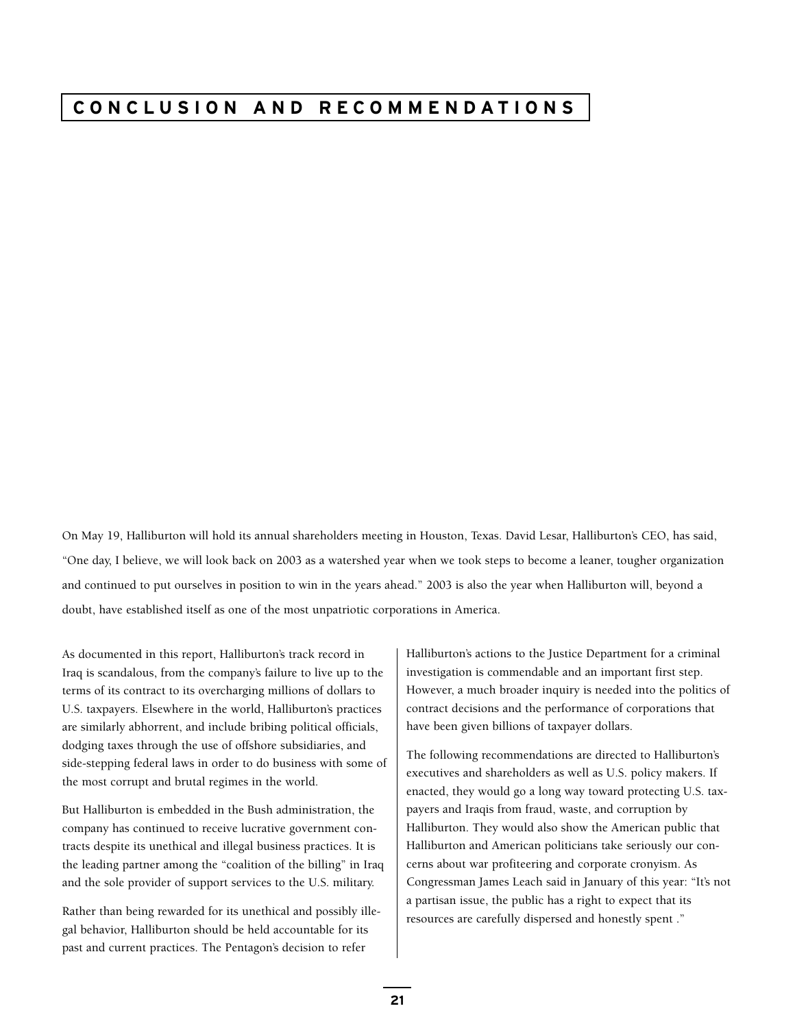# **C ONCLUSION AND RECOMMENDATIONS**

On May 19, Halliburton will hold its annual shareholders meeting in Houston, Texas. David Lesar, Halliburton's CEO, has said, "One day, I believe, we will look back on 2003 as a watershed year when we took steps to become a leaner, tougher organization and continued to put ourselves in position to win in the years ahead." 2003 is also the year when Halliburton will, beyond a doubt, have established itself as one of the most unpatriotic corporations in America.

As documented in this report, Halliburton's track record in Iraq is scandalous, from the company's failure to live up to the terms of its contract to its overcharging millions of dollars to U.S. taxpayers. Elsewhere in the world, Halliburton's practices are similarly abhorrent, and include bribing political officials, dodging taxes through the use of offshore subsidiaries, and side-stepping federal laws in order to do business with some of the most corrupt and brutal regimes in the world.

But Halliburton is embedded in the Bush administration, the company has continued to receive lucrative government contracts despite its unethical and illegal business practices. It is the leading partner among the "coalition of the billing" in Iraq and the sole provider of support services to the U.S. military.

Rather than being rewarded for its unethical and possibly illegal behavior, Halliburton should be held accountable for its past and current practices. The Pentagon's decision to refer

Halliburton's actions to the Justice Department for a criminal investigation is commendable and an important first step. However, a much broader inquiry is needed into the politics of contract decisions and the performance of corporations that have been given billions of taxpayer dollars.

The following recommendations are directed to Halliburton's executives and shareholders as well as U.S. policy makers. If enacted, they would go a long way toward protecting U.S. taxpayers and Iraqis from fraud, waste, and corruption by Halliburton. They would also show the American public that Halliburton and American politicians take seriously our concerns about war profiteering and corporate cronyism. As Congressman James Leach said in January of this year: "It's not a partisan issue, the public has a right to expect that its resources are carefully dispersed and honestly spent ."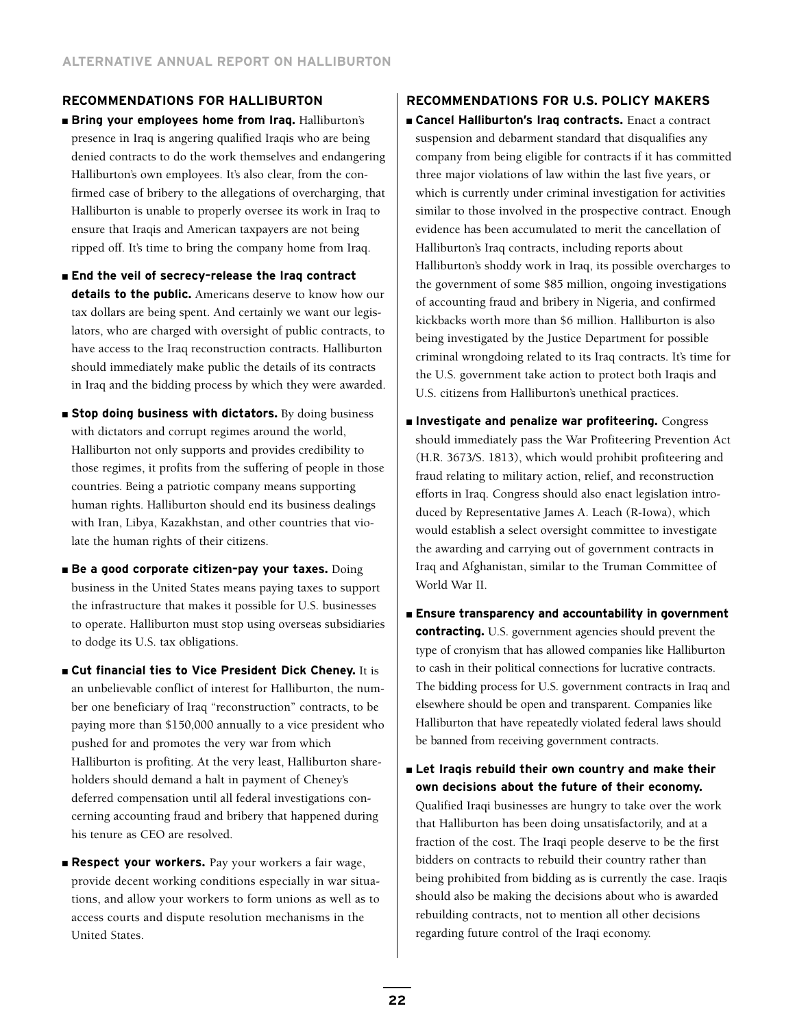#### **RECOMMENDATIONS FOR HALLIBURTON**

- **Bring your employees home from Iraq.** Halliburton's presence in Iraq is angering qualified Iraqis who are being denied contracts to do the work themselves and endangering Halliburton's own employees. It's also clear, from the confirmed case of bribery to the allegations of overcharging, that Halliburton is unable to properly oversee its work in Iraq to ensure that Iraqis and American taxpayers are not being ripped off. It's time to bring the company home from Iraq.
- **End the veil of secrecy–release the Iraq contract details to the public.** Americans deserve to know how our tax dollars are being spent. And certainly we want our legislators, who are charged with oversight of public contracts, to have access to the Iraq reconstruction contracts. Halliburton should immediately make public the details of its contracts in Iraq and the bidding process by which they were awarded.
- **Stop doing business with dictators.** By doing business with dictators and corrupt regimes around the world, Halliburton not only supports and provides credibility to those regimes, it profits from the suffering of people in those countries. Being a patriotic company means supporting human rights. Halliburton should end its business dealings with Iran, Libya, Kazakhstan, and other countries that violate the human rights of their citizens.
- **Be a good corporate citizen–pay your taxes.** Doing business in the United States means paying taxes to support the infrastructure that makes it possible for U.S. businesses to operate. Halliburton must stop using overseas subsidiaries to dodge its U.S. tax obligations.
- **Cut financial ties to Vice President Dick Cheney.** It is an unbelievable conflict of interest for Halliburton, the number one beneficiary of Iraq "reconstruction" contracts, to be paying more than \$150,000 annually to a vice president who pushed for and promotes the very war from which Halliburton is profiting. At the very least, Halliburton shareholders should demand a halt in payment of Cheney's deferred compensation until all federal investigations concerning accounting fraud and bribery that happened during his tenure as CEO are resolved.
- **Respect your workers.** Pay your workers a fair wage, provide decent working conditions especially in war situations, and allow your workers to form unions as well as to access courts and dispute resolution mechanisms in the United States.

#### **RECOMMENDATIONS FOR U.S. POLICY MAKERS**

- **Cancel Halliburton's Iraq contracts.** Enact a contract suspension and debarment standard that disqualifies any company from being eligible for contracts if it has committed three major violations of law within the last five years, or which is currently under criminal investigation for activities similar to those involved in the prospective contract. Enough evidence has been accumulated to merit the cancellation of Halliburton's Iraq contracts, including reports about Halliburton's shoddy work in Iraq, its possible overcharges to the government of some \$85 million, ongoing investigations of accounting fraud and bribery in Nigeria, and confirmed kickbacks worth more than \$6 million. Halliburton is also being investigated by the Justice Department for possible criminal wrongdoing related to its Iraq contracts. It's time for the U.S. government take action to protect both Iraqis and U.S. citizens from Halliburton's unethical practices.
- **Investigate and penalize war profiteering.** Congress should immediately pass the War Profiteering Prevention Act (H.R. 3673/S. 1813), which would prohibit profiteering and fraud relating to military action, relief, and reconstruction efforts in Iraq. Congress should also enact legislation introduced by Representative James A. Leach (R-Iowa), which would establish a select oversight committee to investigate the awarding and carrying out of government contracts in Iraq and Afghanistan, similar to the Truman Committee of World War II.
- **Ensure transparency and accountability in government contracting.** U.S. government agencies should prevent the type of cronyism that has allowed companies like Halliburton to cash in their political connections for lucrative contracts. The bidding process for U.S. government contracts in Iraq and elsewhere should be open and transparent. Companies like Halliburton that have repeatedly violated federal laws should be banned from receiving government contracts.
- **Let Iraqis rebuild their own country and make their own decisions about the future of their economy.**

Qualified Iraqi businesses are hungry to take over the work that Halliburton has been doing unsatisfactorily, and at a fraction of the cost. The Iraqi people deserve to be the first bidders on contracts to rebuild their country rather than being prohibited from bidding as is currently the case. Iraqis should also be making the decisions about who is awarded rebuilding contracts, not to mention all other decisions regarding future control of the Iraqi economy.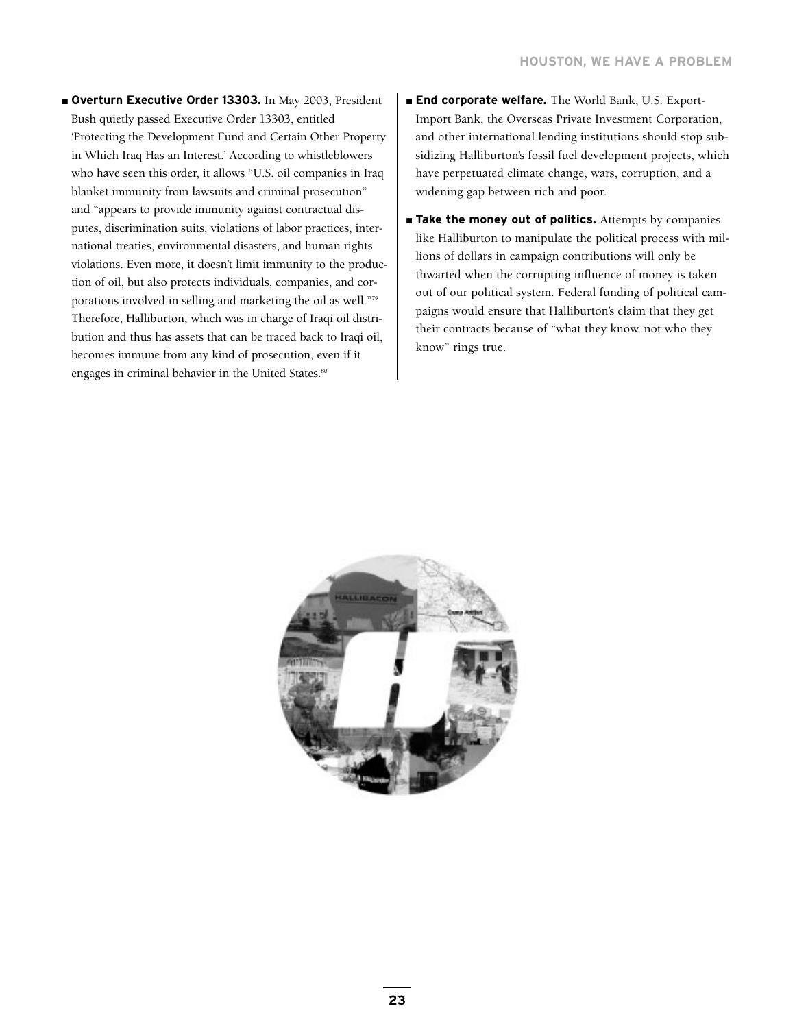- **Overturn Executive Order 13303.** In May 2003, President Bush quietly passed Executive Order 13303, entitled 'Protecting the Development Fund and Certain Other Property in Which Iraq Has an Interest.' According to whistleblowers who have seen this order, it allows "U.S. oil companies in Iraq blanket immunity from lawsuits and criminal prosecution" and "appears to provide immunity against contractual disputes, discrimination suits, violations of labor practices, international treaties, environmental disasters, and human rights violations. Even more, it doesn't limit immunity to the production of oil, but also protects individuals, companies, and corporations involved in selling and marketing the oil as well."79 Therefore, Halliburton, which was in charge of Iraqi oil distribution and thus has assets that can be traced back to Iraqi oil, becomes immune from any kind of prosecution, even if it engages in criminal behavior in the United States.<sup>80</sup>
- **End corporate welfare.** The World Bank, U.S. Export-Import Bank, the Overseas Private Investment Corporation, and other international lending institutions should stop subsidizing Halliburton's fossil fuel development projects, which have perpetuated climate change, wars, corruption, and a widening gap between rich and poor.
- **Take the money out of politics.** Attempts by companies like Halliburton to manipulate the political process with millions of dollars in campaign contributions will only be thwarted when the corrupting influence of money is taken out of our political system. Federal funding of political campaigns would ensure that Halliburton's claim that they get their contracts because of "what they know, not who they know" rings true.

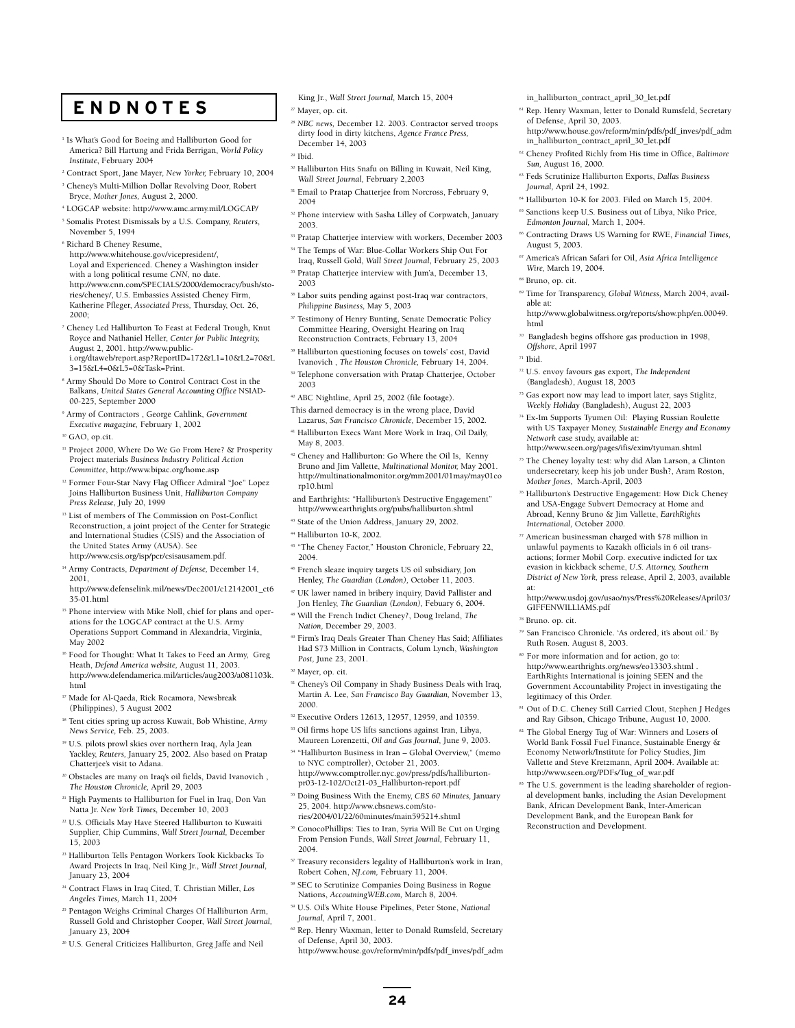# **ENDNOTES**

- <sup>1</sup> Is What's Good for Boeing and Halliburton Good for America? Bill Hartung and Frida Berrigan, *World Policy Institute*, February 2004
- <sup>2</sup> Contract Sport, Jane Mayer, *New Yorker,* February 10, 2004
- <sup>3</sup> Cheney's Multi-Million Dollar Revolving Door, Robert Bryce, *Mother Jones,* August 2, 2000.
- <sup>4</sup> LOGCAP website: http://www.amc.army.mil/LOGCAP/
- <sup>5</sup> Somalis Protest Dismissals by a U.S. Company, *Reuters,* November 5, 1994
- Richard B Cheney Resume, http://www.whitehouse.gov/vicepresident/, Loyal and Experienced. Cheney a Washington insider with a long political resume *CNN*, no date. http://www.cnn.com/SPECIALS/2000/democracy/bush/stories/cheney/, U.S. Embassies Assisted Cheney Firm, Katherine Pfleger, *Associated Press,* Thursday, Oct. 26, 2000;
- <sup>7</sup> Cheney Led Halliburton To Feast at Federal Trough*,* Knut Royce and Nathaniel Heller, *Center for Public Integrity,* August 2, 2001. http://www.publici.org/dtaweb/report.asp?ReportID=172&L1=10&L2=70&L 3=15&L4=0&L5=0&Task=Print.
- <sup>8</sup> Army Should Do More to Control Contract Cost in the Balkans, *United States General Accounting Office* NSIAD-00-225, September 2000
- <sup>9</sup> Army of Contractors , George Cahlink, *Government Executive magazine,* February 1, 2002
- <sup>10</sup> GAO, op.cit.
- <sup>11</sup> Project 2000, Where Do We Go From Here? & Prosperity Project materials *Business Industry Political Action Committee*, http://www.bipac.org/home.asp
- <sup>12</sup> Former Four-Star Navy Flag Officer Admiral "Joe" Lopez Joins Halliburton Business Unit, *Halliburton Company Press Release*, July 20, 1999
- <sup>13</sup> List of members of The Commission on Post-Conflict Reconstruction, a joint project of the Center for Strategic and International Studies (CSIS) and the Association of the United States Army (AUSA). See http://www.csis.org/isp/pcr/csisausamem.pdf.
- <sup>14</sup> Army Contracts, *Department of Defense,* December 14, 2001,
- http://www.defenselink.mil/news/Dec2001/c12142001\_ct6 35-01.html
- <sup>15</sup> Phone interview with Mike Noll, chief for plans and operations for the LOGCAP contract at the U.S. Army Operations Support Command in Alexandria, Virginia, May 2002
- 16 Food for Thought: What It Takes to Feed an Army, Greg Heath, *Defend America website,* August 11, 2003. http://www.defendamerica.mil/articles/aug2003/a081103k. html
- <sup>17</sup> Made for Al-Qaeda, Rick Rocamora, Newsbreak (Philippines), 5 August 2002
- <sup>18</sup> Tent cities spring up across Kuwait, Bob Whistine, *Army News Service,* Feb. 25, 2003.
- <sup>19</sup> U.S. pilots prowl skies over northern Iraq, Ayla Jean Yackley, *Reuters,* January 25, 2002. Also based on Pratap Chatterjee's visit to Adana.
- <sup>20</sup> Obstacles are many on Iraq's oil fields, David Ivanovich , *The Houston Chronicle,* April 29, 2003
- <sup>21</sup> High Payments to Halliburton for Fuel in Iraq, Don Van Natta Jr. *New York Times,* December 10, 2003
- <sup>22</sup> U.S. Officials May Have Steered Halliburton to Kuwaiti Supplier, Chip Cummins, *Wall Street Journal,* December 15, 2003
- <sup>23</sup> Halliburton Tells Pentagon Workers Took Kickbacks To Award Projects In Iraq, Neil King Jr., *Wall Street Journal,* January 23, 2004
- <sup>24</sup> Contract Flaws in Iraq Cited, T. Christian Miller, *Los Angeles Times,* March 11, 2004
- <sup>25</sup> Pentagon Weighs Criminal Charges Of Halliburton Arm, Russell Gold and Christopher Cooper, *Wall Street Journal,* January 23, 2004
- <sup>26</sup> U.S. General Criticizes Halliburton, Greg Jaffe and Neil

King Jr., *Wall Street Journal,* March 15, 2004

- <sup>27</sup> Mayer, op. cit.
- <sup>28</sup> *NBC news,* December 12. 2003. Contractor served troops dirty food in dirty kitchens, *Agence France Press,* December 14, 2003
- <sup>29</sup> Ibid.
- <sup>30</sup> Halliburton Hits Snafu on Billing in Kuwait, Neil King,
- *Wall Street Journal,* February 2,2003 <sup>31</sup> Email to Pratap Chatterjee from Norcross, February 9,
- 2004
- <sup>32</sup> Phone interview with Sasha Lilley of Corpwatch, January 2003.
- <sup>33</sup> Pratap Chatterjee interview with workers, December 2003
- <sup>34</sup> The Temps of War: Blue-Collar Workers Ship Out For Iraq, Russell Gold, *Wall Street Journal*, February 25, 2003
- <sup>35</sup> Pratap Chatterjee interview with Jum'a, December 13, 2003
- <sup>36</sup> Labor suits pending against post-Iraq war contractors, *Philippine Business,* May 5, 2003
- <sup>37</sup> Testimony of Henry Bunting, Senate Democratic Policy Committee Hearing, Oversight Hearing on Iraq Reconstruction Contracts, February 13, 2004
- <sup>38</sup> Halliburton questioning focuses on towels' cost, David Ivanovich , *The Houston Chronicle,* February 14, 2004.
- <sup>39</sup> Telephone conversation with Pratap Chatterjee, October 2003
- <sup>40</sup> ABC Nightline, April 25, 2002 (file footage).
- This darned democracy is in the wrong place, David Lazarus, *San Francisco Chronicle,* December 15, 2002.
- <sup>41</sup> Halliburton Execs Want More Work in Iraq, Oil Daily, May 8, 2003.
- <sup>42</sup> Cheney and Halliburton: Go Where the Oil Is, Kenny Bruno and Jim Vallette, *Multinational Monitor,* May 2001. http://multinationalmonitor.org/mm2001/01may/may01co rp10.html
- and Earthrights: "Halliburton's Destructive Engagement" http://www.earthrights.org/pubs/halliburton.shtml
- <sup>43</sup> State of the Union Address, January 29, 2002.
- <sup>44</sup> Halliburton 10-K, 2002.
- <sup>45</sup> "The Cheney Factor," Houston Chronicle, February 22, 2004.
- <sup>46</sup> French sleaze inquiry targets US oil subsidiary, Jon Henley, *The Guardian (London),* October 11, 2003.
- <sup>47</sup> UK lawer named in bribery inquiry, David Pallister and Jon Henley, *The Guardian (London),* Febuary 6, 2004.
- <sup>48</sup> Will the French Indict Cheney?, Doug Ireland, *The Nation,* December 29, 2003.
- <sup>49</sup> Firm's Iraq Deals Greater Than Cheney Has Said; Affiliates Had \$73 Million in Contracts, Colum Lynch, *Washington Post,* June 23, 2001.
- <sup>50</sup> Mayer, op. cit.
- <sup>51</sup> Cheney's Oil Company in Shady Business Deals with Iraq, Martin A. Lee, *San Francisco Bay Guardian,* November 13, 2000.
- <sup>52</sup> Executive Orders 12613, 12957, 12959, and 10359.
- <sup>53</sup> Oil firms hope US lifts sanctions against Iran, Libya, Maureen Lorenzetti, *Oil and Gas Journal,* June 9, 2003.
- $^{34}$  "Halliburton Business in Iran Global Overview," (memo to NYC comptroller), October 21, 2003. http://www.comptroller.nyc.gov/press/pdfs/halliburtonpr03-12-102/Oct21-03\_Halliburton-report.pdf
- <sup>55</sup> Doing Business With the Enemy, *CBS 60 Minutes,* January 25, 2004. http://www.cbsnews.com/stories/2004/01/22/60minutes/main595214.shtml
- <sup>56</sup> ConocoPhillips: Ties to Iran, Syria Will Be Cut on Urging From Pension Funds, *Wall Street Journal,* February 11, 2004.
- <sup>57</sup> Treasury reconsiders legality of Halliburton's work in Iran, Robert Cohen, *NJ.com,* February 11, 2004.
- <sup>58</sup> SEC to Scrutinize Companies Doing Business in Rogue Nations, *AccoutningWEB.com,* March 8, 2004.
- <sup>59</sup> U.S. Oil's White House Pipelines, Peter Stone, *National Journal,* April 7, 2001.
- <sup>60</sup> Rep. Henry Waxman, letter to Donald Rumsfeld, Secretary of Defense, April 30, 2003.
- http://www.house.gov/reform/min/pdfs/pdf\_inves/pdf\_adm

in\_halliburton\_contract\_april\_30\_let.pdf

- <sup>61</sup> Rep. Henry Waxman, letter to Donald Rumsfeld, Secretary of Defense, April 30, 2003. http://www.house.gov/reform/min/pdfs/pdf\_inves/pdf\_adm
- in\_halliburton\_contract\_april\_30\_let.pdf
- <sup>62</sup> Cheney Profited Richly from His time in Office, *Baltimore Sun,* August 16, 2000.
- <sup>63</sup> Feds Scrutinize Halliburton Exports, *Dallas Business Journal,* April 24, 1992.
- <sup>64</sup> Halliburton 10-K for 2003. Filed on March 15, 2004.
- <sup>65</sup> Sanctions keep U.S. Business out of Libya, Niko Price, *Edmonton Journal,* March 1, 2004.
- <sup>66</sup> Contracting Draws US Warning for RWE, *Financial Times,* August 5, 2003.
- <sup>67</sup> America's African Safari for Oil, *Asia Africa Intelligence Wire,* March 19, 2004.
- <sup>68</sup> Bruno, op. cit.
- <sup>69</sup> Time for Transparency, *Global Witness,* March 2004, available at:
- http://www.globalwitness.org/reports/show.php/en.00049. html
- <sup>70</sup> Bangladesh begins offshore gas production in 1998, *Offshore*, April 1997
- $71$  Ibid.
- <sup>72</sup> U.S. envoy favours gas export, *The Independent* (Bangladesh), August 18, 2003
- <sup>73</sup> Gas export now may lead to import later, says Stiglitz, *Weekly Holiday* (Bangladesh), August 22, 2003
- <sup>74</sup> Ex-Im Supports Tyumen Oil: Playing Russian Roulette with US Taxpayer Money, *Sustainable Energy and Economy Network* case study, available at:
- http://www.seen.org/pages/ifis/exim/tyuman.shtml <sup>75</sup> The Cheney loyalty test: why did Alan Larson, a Clinton
- undersecretary, keep his job under Bush?, Aram Roston, *Mother Jones,* March-April, 2003
- <sup>76</sup> Halliburton's Destructive Engagement: How Dick Cheney and USA-Engage Subvert Democracy at Home and Abroad, Kenny Bruno & Jim Vallette, *EarthRights International,* October 2000.
- $^{\mathrm{77}}$  American businessman charged with \$78 million in unlawful payments to Kazakh officials in 6 oil transactions; former Mobil Corp. executive indicted for tax evasion in kickback scheme, *U.S. Attorney, Southern District of New York,* press release, April 2, 2003, available at:

http://www.usdoj.gov/usao/nys/Press%20Releases/April03/ GIFFENWILLIAMS.pdf

- <sup>78</sup> Bruno. op. cit.
- <sup>79</sup> San Francisco Chronicle. 'As ordered, it's about oil.' By Ruth Rosen. August 8, 2003.
- 80 For more information and for action, go to: http://www.earthrights.org/news/eo13303.shtml . EarthRights International is joining SEEN and the Government Accountability Project in investigating the legitimacy of this Order.
- <sup>81</sup> Out of D.C. Cheney Still Carried Clout, Stephen J Hedges and Ray Gibson, Chicago Tribune, August 10, 2000.
- 82 The Global Energy Tug of War: Winners and Losers of World Bank Fossil Fuel Finance, Sustainable Energy & Economy Network/Institute for Policy Studies, Jim Vallette and Steve Kretzmann, April 2004. Available at: http://www.seen.org/PDFs/Tug\_of\_war.pdf
- <sup>83</sup> The U.S. government is the leading shareholder of regional development banks, including the Asian Development Bank, African Development Bank, Inter-American Development Bank, and the European Bank for Reconstruction and Development.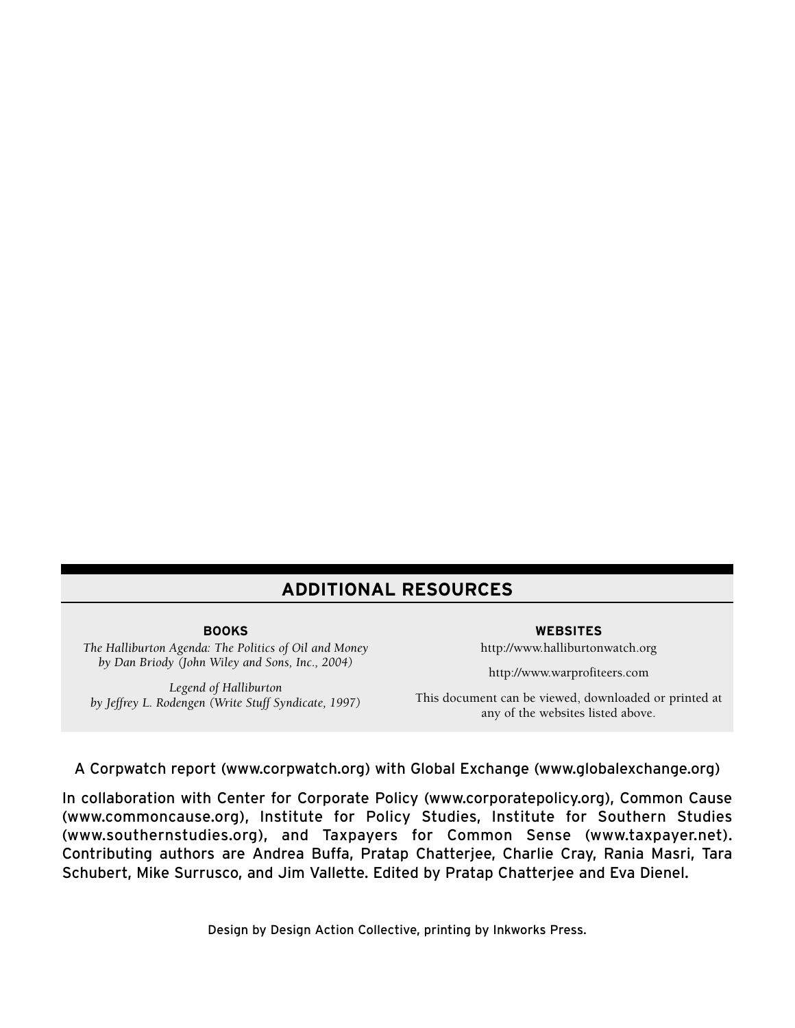# **ADDITIONAL RESOURCES**

#### **BOOKS**

*The Halliburton Agenda: The Politics of Oil and Money by Dan Briody (John Wiley and Sons, Inc., 2004)*

*Legend of Halliburton by Jeffrey L. Rodengen (Write Stuff Syndicate, 1997)* **WEBSITES**

http://www.halliburtonwatch.org

http://www.warprofiteers.com

This document can be viewed, downloaded or printed at any of the websites listed above.

#### A Corpwatch report (www.corpwatch.org) with Global Exchange (www.globalexchange.org)

In collaboration with Center for Corporate Policy (www.corporatepolicy.org), Common Cause (www.commoncause.org), Institute for Policy Studies, Institute for Southern Studies (www.southernstudies.org), and Taxpayers for Common Sense (www.taxpayer.net). Contributing authors are Andrea Buffa, Pratap Chatterjee, Charlie Cray, Rania Masri, Tara Schubert, Mike Surrusco, and Jim Vallette. Edited by Pratap Chatterjee and Eva Dienel.

Design by Design Action Collective, printing by Inkworks Press.